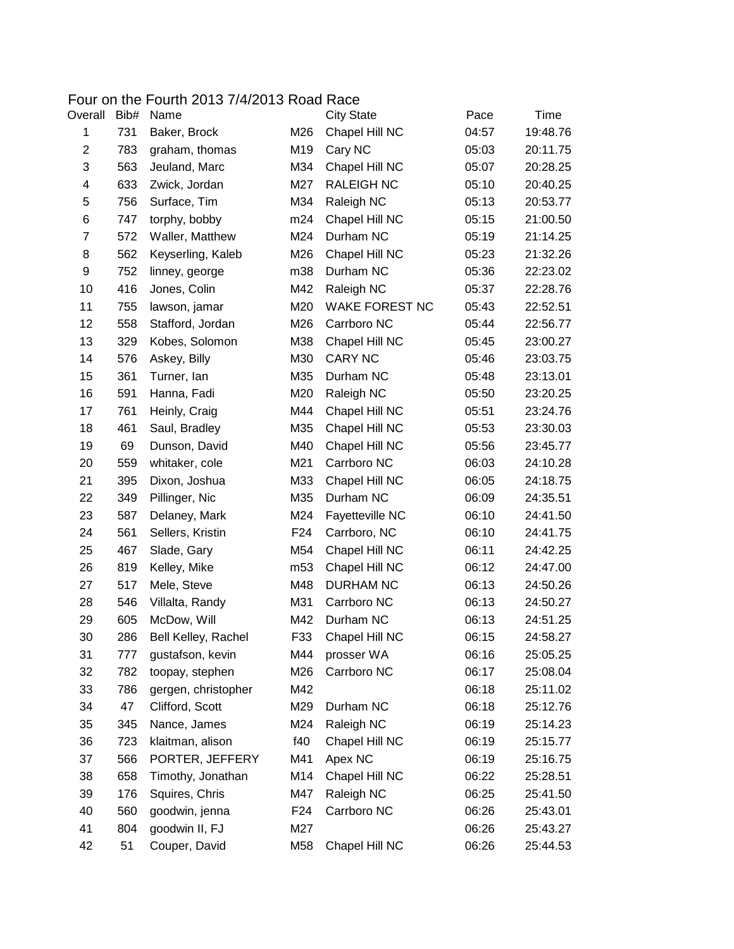## Four on the Fourth 2013 7/4/2013 Road Race<br>Overall Bib# Name City Sta

| Overall | Bib# | Name                |                 | <b>City State</b>      | Pace  | Time     |
|---------|------|---------------------|-----------------|------------------------|-------|----------|
| 1       | 731  | Baker, Brock        | M26             | Chapel Hill NC         | 04:57 | 19:48.76 |
| 2       | 783  | graham, thomas      | M19             | Cary NC                | 05:03 | 20:11.75 |
| 3       | 563  | Jeuland, Marc       | M34             | Chapel Hill NC         | 05:07 | 20:28.25 |
| 4       | 633  | Zwick, Jordan       | M27             | <b>RALEIGH NC</b>      | 05:10 | 20:40.25 |
| 5       | 756  | Surface, Tim        | M34             | Raleigh NC             | 05:13 | 20:53.77 |
| 6       | 747  | torphy, bobby       | m24             | Chapel Hill NC         | 05:15 | 21:00.50 |
| 7       | 572  | Waller, Matthew     | M24             | Durham NC              | 05:19 | 21:14.25 |
| 8       | 562  | Keyserling, Kaleb   | M26             | Chapel Hill NC         | 05:23 | 21:32.26 |
| 9       | 752  | linney, george      | m38             | Durham NC              | 05:36 | 22:23.02 |
| 10      | 416  | Jones, Colin        | M42             | Raleigh NC             | 05:37 | 22:28.76 |
| 11      | 755  | lawson, jamar       | M20             | <b>WAKE FOREST NC</b>  | 05:43 | 22:52.51 |
| 12      | 558  | Stafford, Jordan    | M26             | Carrboro NC            | 05:44 | 22:56.77 |
| 13      | 329  | Kobes, Solomon      | M38             | Chapel Hill NC         | 05:45 | 23:00.27 |
| 14      | 576  | Askey, Billy        | M30             | <b>CARY NC</b>         | 05:46 | 23:03.75 |
| 15      | 361  | Turner, lan         | M35             | Durham NC              | 05:48 | 23:13.01 |
| 16      | 591  | Hanna, Fadi         | M20             | Raleigh NC             | 05:50 | 23:20.25 |
| 17      | 761  | Heinly, Craig       | M44             | Chapel Hill NC         | 05:51 | 23:24.76 |
| 18      | 461  | Saul, Bradley       | M35             | Chapel Hill NC         | 05:53 | 23:30.03 |
| 19      | 69   | Dunson, David       | M40             | Chapel Hill NC         | 05:56 | 23:45.77 |
| 20      | 559  | whitaker, cole      | M21             | Carrboro NC            | 06:03 | 24:10.28 |
| 21      | 395  | Dixon, Joshua       | M33             | Chapel Hill NC         | 06:05 | 24:18.75 |
| 22      | 349  | Pillinger, Nic      | M35             | Durham NC              | 06:09 | 24:35.51 |
| 23      | 587  | Delaney, Mark       | M24             | <b>Fayetteville NC</b> | 06:10 | 24:41.50 |
| 24      | 561  | Sellers, Kristin    | F24             | Carrboro, NC           | 06:10 | 24:41.75 |
| 25      | 467  | Slade, Gary         | M54             | Chapel Hill NC         | 06:11 | 24:42.25 |
| 26      | 819  | Kelley, Mike        | m <sub>53</sub> | Chapel Hill NC         | 06:12 | 24:47.00 |
| 27      | 517  | Mele, Steve         | M48             | <b>DURHAM NC</b>       | 06:13 | 24:50.26 |
| 28      | 546  | Villalta, Randy     | M31             | Carrboro NC            | 06:13 | 24:50.27 |
| 29      | 605  | McDow, Will         | M42             | Durham NC              | 06:13 | 24:51.25 |
| 30      | 286  | Bell Kelley, Rachel | F33             | Chapel Hill NC         | 06:15 | 24:58.27 |
| 31      | 777  | gustafson, kevin    | M44             | prosser WA             | 06:16 | 25:05.25 |
| 32      | 782  | toopay, stephen     | M26             | Carrboro NC            | 06:17 | 25:08.04 |
| 33      | 786  | gergen, christopher | M42             |                        | 06:18 | 25:11.02 |
| 34      | 47   | Clifford, Scott     | M29             | Durham NC              | 06:18 | 25:12.76 |
| 35      | 345  | Nance, James        | M24             | Raleigh NC             | 06:19 | 25:14.23 |
| 36      | 723  | klaitman, alison    | f40             | Chapel Hill NC         | 06:19 | 25:15.77 |
| 37      | 566  | PORTER, JEFFERY     | M41             | Apex NC                | 06:19 | 25:16.75 |
| 38      | 658  | Timothy, Jonathan   | M14             | Chapel Hill NC         | 06:22 | 25:28.51 |
| 39      | 176  | Squires, Chris      | M47             | Raleigh NC             | 06:25 | 25:41.50 |
| 40      | 560  | goodwin, jenna      | F24             | Carrboro NC            | 06:26 | 25:43.01 |
| 41      | 804  | goodwin II, FJ      | M27             |                        | 06:26 | 25:43.27 |
| 42      | 51   | Couper, David       | M58             | Chapel Hill NC         | 06:26 | 25:44.53 |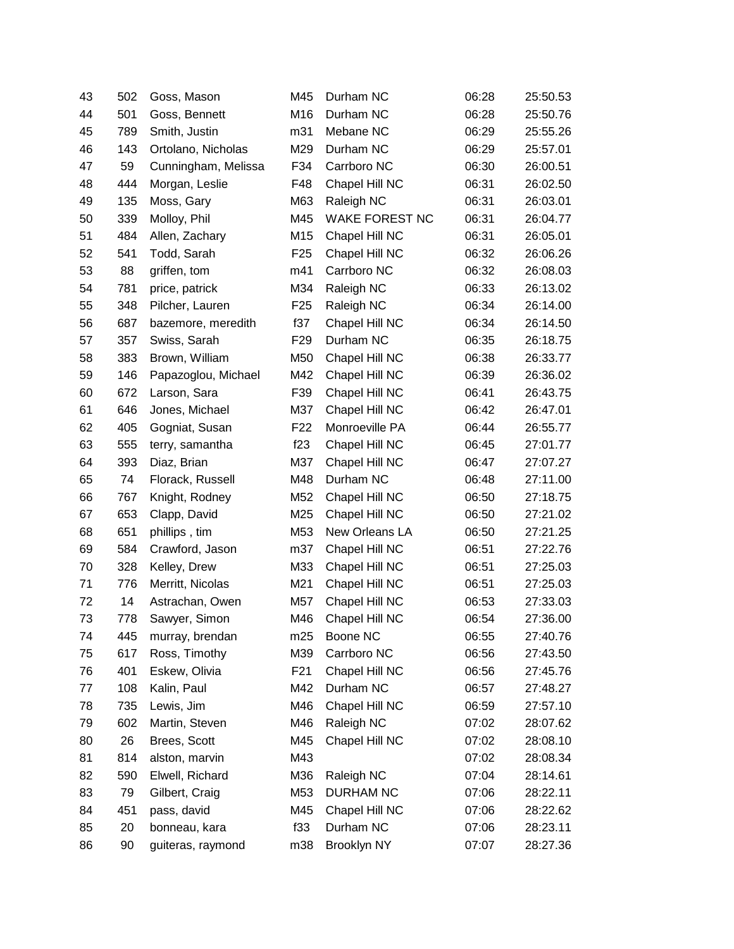| 43 | 502 | Goss, Mason         | M45             | Durham NC        | 06:28 | 25:50.53 |
|----|-----|---------------------|-----------------|------------------|-------|----------|
| 44 | 501 | Goss, Bennett       | M16             | Durham NC        | 06:28 | 25:50.76 |
| 45 | 789 | Smith, Justin       | m31             | Mebane NC        | 06:29 | 25:55.26 |
| 46 | 143 | Ortolano, Nicholas  | M29             | Durham NC        | 06:29 | 25:57.01 |
| 47 | 59  | Cunningham, Melissa | F34             | Carrboro NC      | 06:30 | 26:00.51 |
| 48 | 444 | Morgan, Leslie      | F48             | Chapel Hill NC   | 06:31 | 26:02.50 |
| 49 | 135 | Moss, Gary          | M63             | Raleigh NC       | 06:31 | 26:03.01 |
| 50 | 339 | Molloy, Phil        | M45             | WAKE FOREST NC   | 06:31 | 26:04.77 |
| 51 | 484 | Allen, Zachary      | M15             | Chapel Hill NC   | 06:31 | 26:05.01 |
| 52 | 541 | Todd, Sarah         | F <sub>25</sub> | Chapel Hill NC   | 06:32 | 26:06.26 |
| 53 | 88  | griffen, tom        | m41             | Carrboro NC      | 06:32 | 26:08.03 |
| 54 | 781 | price, patrick      | M34             | Raleigh NC       | 06:33 | 26:13.02 |
| 55 | 348 | Pilcher, Lauren     | F <sub>25</sub> | Raleigh NC       | 06:34 | 26:14.00 |
| 56 | 687 | bazemore, meredith  | f37             | Chapel Hill NC   | 06:34 | 26:14.50 |
| 57 | 357 | Swiss, Sarah        | F <sub>29</sub> | Durham NC        | 06:35 | 26:18.75 |
| 58 | 383 | Brown, William      | M50             | Chapel Hill NC   | 06:38 | 26:33.77 |
| 59 | 146 | Papazoglou, Michael | M42             | Chapel Hill NC   | 06:39 | 26:36.02 |
| 60 | 672 | Larson, Sara        | F39             | Chapel Hill NC   | 06:41 | 26:43.75 |
| 61 | 646 | Jones, Michael      | M37             | Chapel Hill NC   | 06:42 | 26:47.01 |
| 62 | 405 | Gogniat, Susan      | F <sub>22</sub> | Monroeville PA   | 06:44 | 26:55.77 |
| 63 | 555 | terry, samantha     | f23             | Chapel Hill NC   | 06:45 | 27:01.77 |
| 64 | 393 | Diaz, Brian         | M37             | Chapel Hill NC   | 06:47 | 27:07.27 |
| 65 | 74  | Florack, Russell    | M48             | Durham NC        | 06:48 | 27:11.00 |
| 66 | 767 | Knight, Rodney      | M52             | Chapel Hill NC   | 06:50 | 27:18.75 |
| 67 | 653 | Clapp, David        | M25             | Chapel Hill NC   | 06:50 | 27:21.02 |
| 68 | 651 | phillips, tim       | M53             | New Orleans LA   | 06:50 | 27:21.25 |
| 69 | 584 | Crawford, Jason     | m37             | Chapel Hill NC   | 06:51 | 27:22.76 |
| 70 | 328 | Kelley, Drew        | M33             | Chapel Hill NC   | 06:51 | 27:25.03 |
| 71 | 776 | Merritt, Nicolas    | M21             | Chapel Hill NC   | 06:51 | 27:25.03 |
| 72 | 14  | Astrachan, Owen     | M57             | Chapel Hill NC   | 06:53 | 27:33.03 |
| 73 | 778 | Sawyer, Simon       | M46             | Chapel Hill NC   | 06:54 | 27:36.00 |
| 74 | 445 | murray, brendan     | m25             | Boone NC         | 06:55 | 27:40.76 |
| 75 | 617 | Ross, Timothy       | M39             | Carrboro NC      | 06:56 | 27:43.50 |
| 76 | 401 | Eskew, Olivia       | F <sub>21</sub> | Chapel Hill NC   | 06:56 | 27:45.76 |
| 77 | 108 | Kalin, Paul         | M42             | Durham NC        | 06:57 | 27:48.27 |
| 78 | 735 | Lewis, Jim          | M46             | Chapel Hill NC   | 06:59 | 27:57.10 |
| 79 | 602 | Martin, Steven      | M46             | Raleigh NC       | 07:02 | 28:07.62 |
| 80 | 26  | Brees, Scott        | M45             | Chapel Hill NC   | 07:02 | 28:08.10 |
| 81 | 814 | alston, marvin      | M43             |                  | 07:02 | 28:08.34 |
| 82 | 590 | Elwell, Richard     | M36             | Raleigh NC       | 07:04 | 28:14.61 |
| 83 | 79  | Gilbert, Craig      | M53             | <b>DURHAM NC</b> | 07:06 | 28:22.11 |
| 84 | 451 | pass, david         | M45             | Chapel Hill NC   | 07:06 | 28:22.62 |
| 85 | 20  | bonneau, kara       | f33             | Durham NC        | 07:06 | 28:23.11 |
| 86 | 90  | guiteras, raymond   | m38             | Brooklyn NY      | 07:07 | 28:27.36 |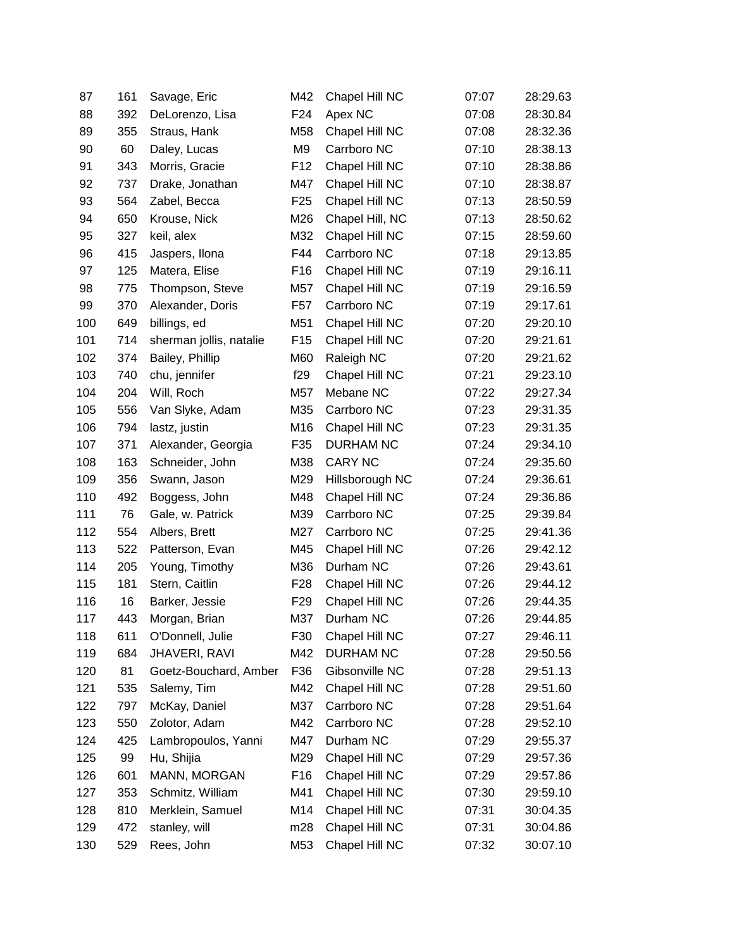| 87  | 161 | Savage, Eric            | M42             | Chapel Hill NC   | 07:07 | 28:29.63 |
|-----|-----|-------------------------|-----------------|------------------|-------|----------|
| 88  | 392 | DeLorenzo, Lisa         | F24             | Apex NC          | 07:08 | 28:30.84 |
| 89  | 355 | Straus, Hank            | M58             | Chapel Hill NC   | 07:08 | 28:32.36 |
| 90  | 60  | Daley, Lucas            | M9              | Carrboro NC      | 07:10 | 28:38.13 |
| 91  | 343 | Morris, Gracie          | F <sub>12</sub> | Chapel Hill NC   | 07:10 | 28:38.86 |
| 92  | 737 | Drake, Jonathan         | M47             | Chapel Hill NC   | 07:10 | 28:38.87 |
| 93  | 564 | Zabel, Becca            | F <sub>25</sub> | Chapel Hill NC   | 07:13 | 28:50.59 |
| 94  | 650 | Krouse, Nick            | M26             | Chapel Hill, NC  | 07:13 | 28:50.62 |
| 95  | 327 | keil, alex              | M32             | Chapel Hill NC   | 07:15 | 28:59.60 |
| 96  | 415 | Jaspers, Ilona          | F44             | Carrboro NC      | 07:18 | 29:13.85 |
| 97  | 125 | Matera, Elise           | F16             | Chapel Hill NC   | 07:19 | 29:16.11 |
| 98  | 775 | Thompson, Steve         | M57             | Chapel Hill NC   | 07:19 | 29:16.59 |
| 99  | 370 | Alexander, Doris        | F <sub>57</sub> | Carrboro NC      | 07:19 | 29:17.61 |
| 100 | 649 | billings, ed            | M51             | Chapel Hill NC   | 07:20 | 29:20.10 |
| 101 | 714 | sherman jollis, natalie | F <sub>15</sub> | Chapel Hill NC   | 07:20 | 29:21.61 |
| 102 | 374 | Bailey, Phillip         | M60             | Raleigh NC       | 07:20 | 29:21.62 |
| 103 | 740 | chu, jennifer           | f29             | Chapel Hill NC   | 07:21 | 29:23.10 |
| 104 | 204 | Will, Roch              | M57             | Mebane NC        | 07:22 | 29:27.34 |
| 105 | 556 | Van Slyke, Adam         | M35             | Carrboro NC      | 07:23 | 29:31.35 |
| 106 | 794 | lastz, justin           | M16             | Chapel Hill NC   | 07:23 | 29:31.35 |
| 107 | 371 | Alexander, Georgia      | F35             | <b>DURHAM NC</b> | 07:24 | 29:34.10 |
| 108 | 163 | Schneider, John         | M38             | <b>CARY NC</b>   | 07:24 | 29:35.60 |
| 109 | 356 | Swann, Jason            | M29             | Hillsborough NC  | 07:24 | 29:36.61 |
| 110 | 492 | Boggess, John           | M48             | Chapel Hill NC   | 07:24 | 29:36.86 |
| 111 | 76  | Gale, w. Patrick        | M39             | Carrboro NC      | 07:25 | 29:39.84 |
| 112 | 554 | Albers, Brett           | M27             | Carrboro NC      | 07:25 | 29:41.36 |
| 113 | 522 | Patterson, Evan         | M45             | Chapel Hill NC   | 07:26 | 29:42.12 |
| 114 | 205 | Young, Timothy          | M36             | Durham NC        | 07:26 | 29:43.61 |
| 115 | 181 | Stern, Caitlin          | F <sub>28</sub> | Chapel Hill NC   | 07:26 | 29:44.12 |
| 116 | 16  | Barker, Jessie          | F <sub>29</sub> | Chapel Hill NC   | 07:26 | 29:44.35 |
| 117 | 443 | Morgan, Brian           | M37             | Durham NC        | 07:26 | 29:44.85 |
| 118 | 611 | O'Donnell, Julie        | F30             | Chapel Hill NC   | 07:27 | 29:46.11 |
| 119 | 684 | <b>JHAVERI, RAVI</b>    | M42             | <b>DURHAM NC</b> | 07:28 | 29:50.56 |
| 120 | 81  | Goetz-Bouchard, Amber   | F36             | Gibsonville NC   | 07:28 | 29:51.13 |
| 121 | 535 | Salemy, Tim             | M42             | Chapel Hill NC   | 07:28 | 29:51.60 |
| 122 | 797 | McKay, Daniel           | M37             | Carrboro NC      | 07:28 | 29:51.64 |
| 123 | 550 | Zolotor, Adam           | M42             | Carrboro NC      | 07:28 | 29:52.10 |
| 124 | 425 | Lambropoulos, Yanni     | M47             | Durham NC        | 07:29 | 29:55.37 |
| 125 | 99  | Hu, Shijia              | M29             | Chapel Hill NC   | 07:29 | 29:57.36 |
| 126 | 601 | MANN, MORGAN            | F <sub>16</sub> | Chapel Hill NC   | 07:29 | 29:57.86 |
| 127 | 353 | Schmitz, William        | M41             | Chapel Hill NC   | 07:30 | 29:59.10 |
| 128 | 810 | Merklein, Samuel        | M14             | Chapel Hill NC   | 07:31 | 30:04.35 |
| 129 | 472 | stanley, will           | m28             | Chapel Hill NC   | 07:31 | 30:04.86 |
| 130 | 529 | Rees, John              | M53             | Chapel Hill NC   | 07:32 | 30:07.10 |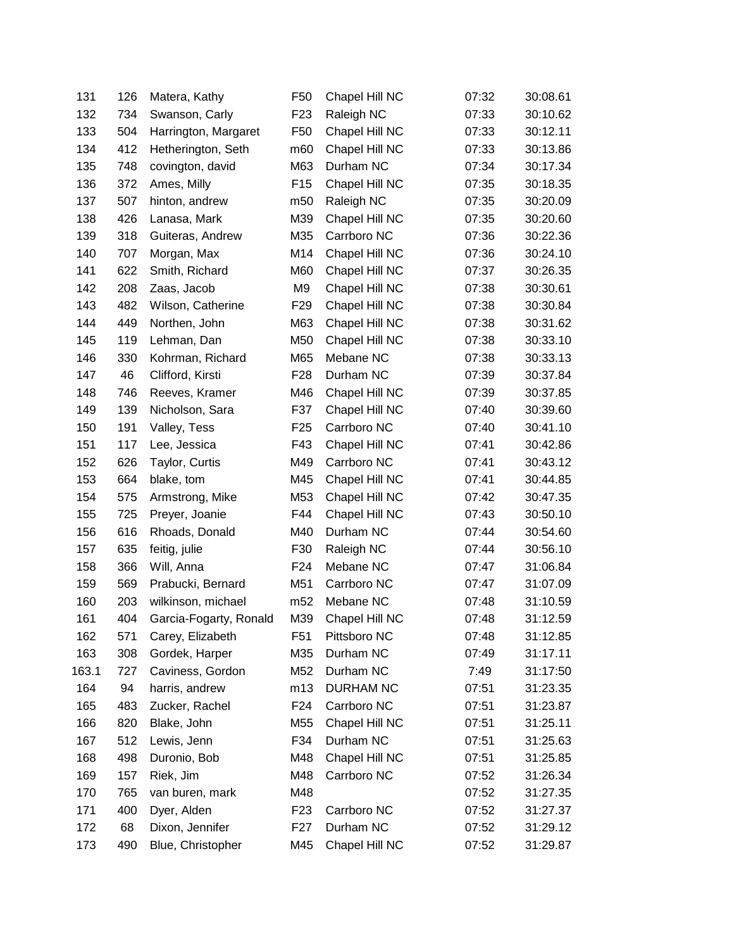| 131   | 126 | Matera, Kathy          | F <sub>50</sub>  | Chapel Hill NC   | 07:32 | 30:08.61 |
|-------|-----|------------------------|------------------|------------------|-------|----------|
| 132   | 734 | Swanson, Carly         | F <sub>23</sub>  | Raleigh NC       | 07:33 | 30:10.62 |
| 133   | 504 | Harrington, Margaret   | F50              | Chapel Hill NC   | 07:33 | 30:12.11 |
| 134   | 412 | Hetherington, Seth     | m60              | Chapel Hill NC   | 07:33 | 30:13.86 |
| 135   | 748 | covington, david       | M63              | Durham NC        | 07:34 | 30:17.34 |
| 136   | 372 | Ames, Milly            | F <sub>15</sub>  | Chapel Hill NC   | 07:35 | 30:18.35 |
| 137   | 507 | hinton, andrew         | m50              | Raleigh NC       | 07:35 | 30:20.09 |
| 138   | 426 | Lanasa, Mark           | M39              | Chapel Hill NC   | 07:35 | 30:20.60 |
| 139   | 318 | Guiteras, Andrew       | M35              | Carrboro NC      | 07:36 | 30:22.36 |
| 140   | 707 | Morgan, Max            | M14              | Chapel Hill NC   | 07:36 | 30:24.10 |
| 141   | 622 | Smith, Richard         | M60              | Chapel Hill NC   | 07:37 | 30:26.35 |
| 142   | 208 | Zaas, Jacob            | M9               | Chapel Hill NC   | 07:38 | 30:30.61 |
| 143   | 482 | Wilson, Catherine      | F <sub>29</sub>  | Chapel Hill NC   | 07:38 | 30:30.84 |
| 144   | 449 | Northen, John          | M63              | Chapel Hill NC   | 07:38 | 30:31.62 |
| 145   | 119 | Lehman, Dan            | M50              | Chapel Hill NC   | 07:38 | 30:33.10 |
| 146   | 330 | Kohrman, Richard       | M65              | Mebane NC        | 07:38 | 30:33.13 |
| 147   | 46  | Clifford, Kirsti       | F <sub>28</sub>  | Durham NC        | 07:39 | 30:37.84 |
| 148   | 746 | Reeves, Kramer         | M46              | Chapel Hill NC   | 07:39 | 30:37.85 |
| 149   | 139 | Nicholson, Sara        | F37              | Chapel Hill NC   | 07:40 | 30:39.60 |
| 150   | 191 | Valley, Tess           | F <sub>25</sub>  | Carrboro NC      | 07:40 | 30:41.10 |
| 151   | 117 | Lee, Jessica           | F43              | Chapel Hill NC   | 07:41 | 30:42.86 |
| 152   | 626 | Taylor, Curtis         | M49              | Carrboro NC      | 07:41 | 30:43.12 |
| 153   | 664 | blake, tom             | M45              | Chapel Hill NC   | 07:41 | 30:44.85 |
| 154   | 575 | Armstrong, Mike        | M53              | Chapel Hill NC   | 07:42 | 30:47.35 |
| 155   | 725 | Preyer, Joanie         | F44              | Chapel Hill NC   | 07:43 | 30:50.10 |
| 156   | 616 | Rhoads, Donald         | M40              | Durham NC        | 07:44 | 30:54.60 |
| 157   | 635 | feitig, julie          | F30              | Raleigh NC       | 07:44 | 30:56.10 |
| 158   | 366 | Will, Anna             | F <sub>24</sub>  | Mebane NC        | 07:47 | 31:06.84 |
| 159   | 569 | Prabucki, Bernard      | M51              | Carrboro NC      | 07:47 | 31:07.09 |
| 160   | 203 | wilkinson, michael     | m <sub>52</sub>  | Mebane NC        | 07:48 | 31:10.59 |
| 161   | 404 | Garcia-Fogarty, Ronald | M39              | Chapel Hill NC   | 07:48 | 31:12.59 |
| 162   | 571 | Carey, Elizabeth       | F51              | Pittsboro NC     | 07:48 | 31:12.85 |
| 163   | 308 | Gordek, Harper         | M35              | Durham NC        | 07:49 | 31:17.11 |
| 163.1 | 727 | Caviness, Gordon       | M52              | Durham NC        | 7:49  | 31:17:50 |
| 164   | 94  | harris, andrew         | m13              | <b>DURHAM NC</b> | 07:51 | 31:23.35 |
| 165   | 483 | Zucker, Rachel         | F24              | Carrboro NC      | 07:51 | 31:23.87 |
| 166   | 820 | Blake, John            | M55              | Chapel Hill NC   | 07:51 | 31:25.11 |
| 167   | 512 | Lewis, Jenn            | F34              | Durham NC        | 07:51 | 31:25.63 |
| 168   | 498 | Duronio, Bob           | M48              | Chapel Hill NC   | 07:51 | 31:25.85 |
| 169   | 157 | Riek, Jim              | M48              | Carrboro NC      | 07:52 | 31:26.34 |
| 170   | 765 | van buren, mark        | M48              |                  | 07:52 | 31:27.35 |
| 171   | 400 | Dyer, Alden            | F <sub>23</sub>  | Carrboro NC      | 07:52 | 31:27.37 |
| 172   | 68  | Dixon, Jennifer        | F <sub>2</sub> 7 | Durham NC        | 07:52 | 31:29.12 |
| 173   | 490 | Blue, Christopher      | M45              | Chapel Hill NC   | 07:52 | 31:29.87 |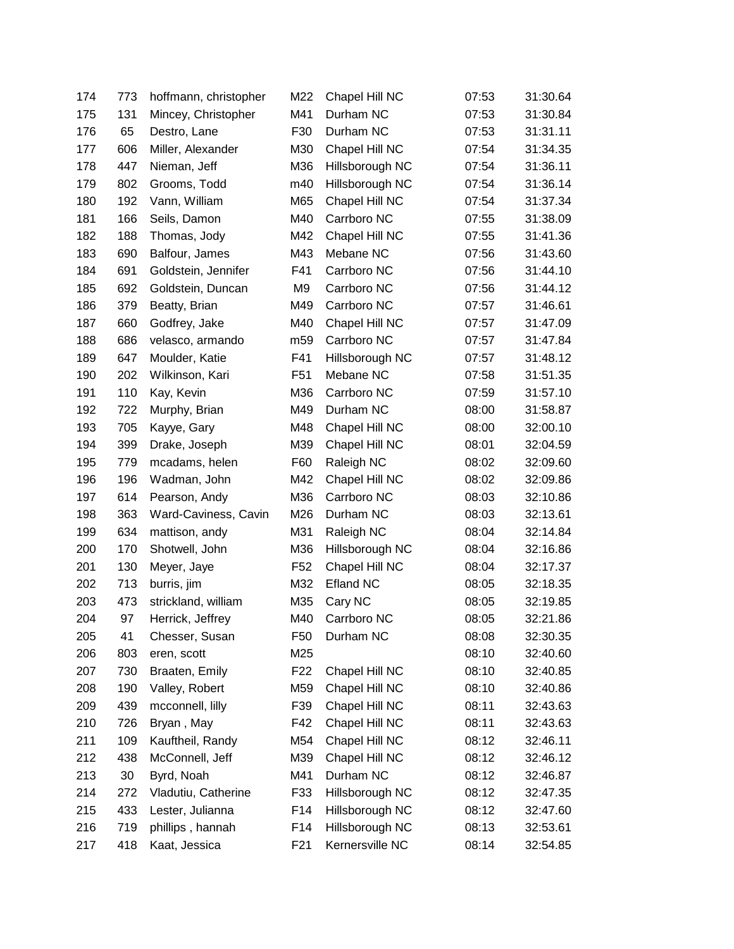| 174 | 773 | hoffmann, christopher | M22             | Chapel Hill NC   | 07:53 | 31:30.64 |
|-----|-----|-----------------------|-----------------|------------------|-------|----------|
| 175 | 131 | Mincey, Christopher   | M41             | Durham NC        | 07:53 | 31:30.84 |
| 176 | 65  | Destro, Lane          | F30             | Durham NC        | 07:53 | 31:31.11 |
| 177 | 606 | Miller, Alexander     | M30             | Chapel Hill NC   | 07:54 | 31:34.35 |
| 178 | 447 | Nieman, Jeff          | M36             | Hillsborough NC  | 07:54 | 31:36.11 |
| 179 | 802 | Grooms, Todd          | m40             | Hillsborough NC  | 07:54 | 31:36.14 |
| 180 | 192 | Vann, William         | M65             | Chapel Hill NC   | 07:54 | 31:37.34 |
| 181 | 166 | Seils, Damon          | M40             | Carrboro NC      | 07:55 | 31:38.09 |
| 182 | 188 | Thomas, Jody          | M42             | Chapel Hill NC   | 07:55 | 31:41.36 |
| 183 | 690 | Balfour, James        | M43             | Mebane NC        | 07:56 | 31:43.60 |
| 184 | 691 | Goldstein, Jennifer   | F41             | Carrboro NC      | 07:56 | 31:44.10 |
| 185 | 692 | Goldstein, Duncan     | M <sub>9</sub>  | Carrboro NC      | 07:56 | 31:44.12 |
| 186 | 379 | Beatty, Brian         | M49             | Carrboro NC      | 07:57 | 31:46.61 |
| 187 | 660 | Godfrey, Jake         | M40             | Chapel Hill NC   | 07:57 | 31:47.09 |
| 188 | 686 | velasco, armando      | m59             | Carrboro NC      | 07:57 | 31:47.84 |
| 189 | 647 | Moulder, Katie        | F41             | Hillsborough NC  | 07:57 | 31:48.12 |
| 190 | 202 | Wilkinson, Kari       | F <sub>51</sub> | Mebane NC        | 07:58 | 31:51.35 |
| 191 | 110 | Kay, Kevin            | M36             | Carrboro NC      | 07:59 | 31:57.10 |
| 192 | 722 | Murphy, Brian         | M49             | Durham NC        | 08:00 | 31:58.87 |
| 193 | 705 | Kayye, Gary           | M48             | Chapel Hill NC   | 08:00 | 32:00.10 |
| 194 | 399 | Drake, Joseph         | M39             | Chapel Hill NC   | 08:01 | 32:04.59 |
| 195 | 779 | mcadams, helen        | F60             | Raleigh NC       | 08:02 | 32:09.60 |
| 196 | 196 | Wadman, John          | M42             | Chapel Hill NC   | 08:02 | 32:09.86 |
| 197 | 614 | Pearson, Andy         | M36             | Carrboro NC      | 08:03 | 32:10.86 |
| 198 | 363 | Ward-Caviness, Cavin  | M26             | Durham NC        | 08:03 | 32:13.61 |
| 199 | 634 | mattison, andy        | M31             | Raleigh NC       | 08:04 | 32:14.84 |
| 200 | 170 | Shotwell, John        | M36             | Hillsborough NC  | 08:04 | 32:16.86 |
| 201 | 130 | Meyer, Jaye           | F <sub>52</sub> | Chapel Hill NC   | 08:04 | 32:17.37 |
| 202 | 713 | burris, jim           | M32             | <b>Efland NC</b> | 08:05 | 32:18.35 |
| 203 | 473 | strickland, william   | M35             | Cary NC          | 08:05 | 32:19.85 |
| 204 | 97  | Herrick, Jeffrey      | M40             | Carrboro NC      | 08:05 | 32:21.86 |
| 205 | 41  | Chesser, Susan        | F50             | Durham NC        | 08:08 | 32:30.35 |
| 206 | 803 | eren, scott           | M25             |                  | 08:10 | 32:40.60 |
| 207 | 730 | Braaten, Emily        | F <sub>22</sub> | Chapel Hill NC   | 08:10 | 32:40.85 |
| 208 | 190 | Valley, Robert        | M59             | Chapel Hill NC   | 08:10 | 32:40.86 |
| 209 | 439 | mcconnell, lilly      | F39             | Chapel Hill NC   | 08:11 | 32:43.63 |
| 210 | 726 | Bryan, May            | F42             | Chapel Hill NC   | 08:11 | 32:43.63 |
| 211 | 109 | Kauftheil, Randy      | M54             | Chapel Hill NC   | 08:12 | 32:46.11 |
| 212 | 438 | McConnell, Jeff       | M39             | Chapel Hill NC   | 08:12 | 32:46.12 |
| 213 | 30  | Byrd, Noah            | M41             | Durham NC        | 08:12 | 32:46.87 |
| 214 | 272 | Vladutiu, Catherine   | F33             | Hillsborough NC  | 08:12 | 32:47.35 |
| 215 | 433 | Lester, Julianna      | F14             | Hillsborough NC  | 08:12 | 32:47.60 |
| 216 | 719 | phillips, hannah      | F14             | Hillsborough NC  | 08:13 | 32:53.61 |
| 217 | 418 | Kaat, Jessica         | F <sub>21</sub> | Kernersville NC  | 08:14 | 32:54.85 |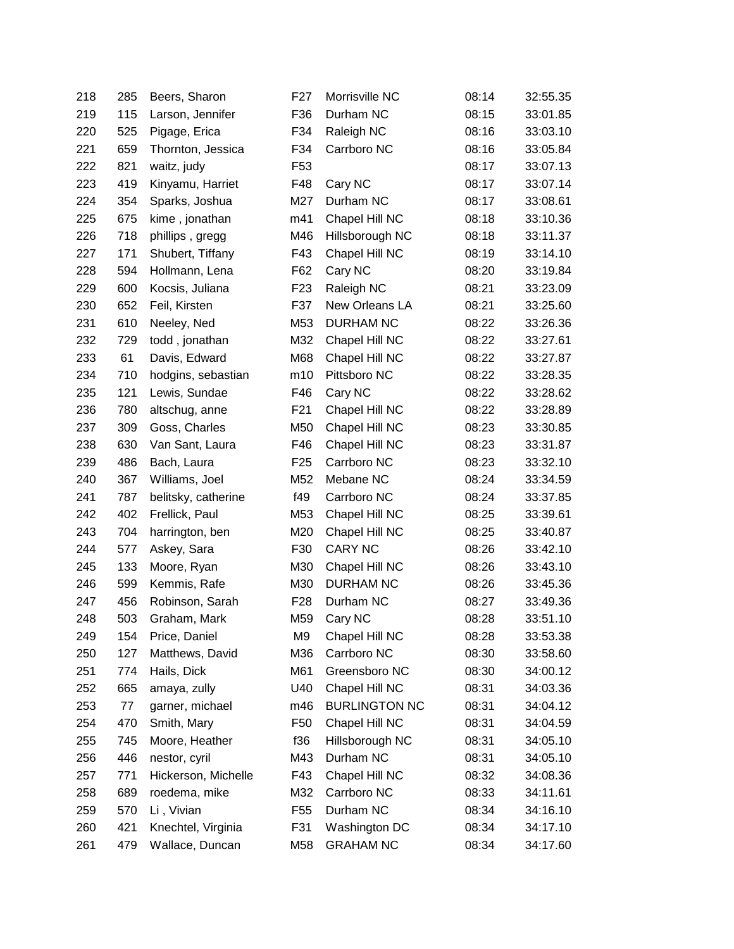| 218 | 285 | Beers, Sharon       | F <sub>27</sub> | Morrisville NC       | 08:14 | 32:55.35 |
|-----|-----|---------------------|-----------------|----------------------|-------|----------|
| 219 | 115 | Larson, Jennifer    | F36             | Durham NC            | 08:15 | 33:01.85 |
| 220 | 525 | Pigage, Erica       | F34             | Raleigh NC           | 08:16 | 33:03.10 |
| 221 | 659 | Thornton, Jessica   | F34             | Carrboro NC          | 08:16 | 33:05.84 |
| 222 | 821 | waitz, judy         | F <sub>53</sub> |                      | 08:17 | 33:07.13 |
| 223 | 419 | Kinyamu, Harriet    | F48             | Cary NC              | 08:17 | 33:07.14 |
| 224 | 354 | Sparks, Joshua      | M27             | Durham NC            | 08:17 | 33:08.61 |
| 225 | 675 | kime, jonathan      | m41             | Chapel Hill NC       | 08:18 | 33:10.36 |
| 226 | 718 | phillips, gregg     | M46             | Hillsborough NC      | 08:18 | 33:11.37 |
| 227 | 171 | Shubert, Tiffany    | F43             | Chapel Hill NC       | 08:19 | 33:14.10 |
| 228 | 594 | Hollmann, Lena      | F62             | Cary NC              | 08:20 | 33:19.84 |
| 229 | 600 | Kocsis, Juliana     | F <sub>23</sub> | Raleigh NC           | 08:21 | 33:23.09 |
| 230 | 652 | Feil, Kirsten       | F37             | New Orleans LA       | 08:21 | 33:25.60 |
| 231 | 610 | Neeley, Ned         | M53             | <b>DURHAM NC</b>     | 08:22 | 33:26.36 |
| 232 | 729 | todd, jonathan      | M32             | Chapel Hill NC       | 08:22 | 33:27.61 |
| 233 | 61  | Davis, Edward       | M68             | Chapel Hill NC       | 08:22 | 33:27.87 |
| 234 | 710 | hodgins, sebastian  | m10             | Pittsboro NC         | 08:22 | 33:28.35 |
| 235 | 121 | Lewis, Sundae       | F46             | Cary NC              | 08:22 | 33:28.62 |
| 236 | 780 | altschug, anne      | F <sub>21</sub> | Chapel Hill NC       | 08:22 | 33:28.89 |
| 237 | 309 | Goss, Charles       | M50             | Chapel Hill NC       | 08:23 | 33:30.85 |
| 238 | 630 | Van Sant, Laura     | F46             | Chapel Hill NC       | 08:23 | 33:31.87 |
| 239 | 486 | Bach, Laura         | F <sub>25</sub> | Carrboro NC          | 08:23 | 33:32.10 |
| 240 | 367 | Williams, Joel      | M52             | Mebane NC            | 08:24 | 33:34.59 |
| 241 | 787 | belitsky, catherine | f49             | Carrboro NC          | 08:24 | 33:37.85 |
| 242 | 402 | Frellick, Paul      | M53             | Chapel Hill NC       | 08:25 | 33:39.61 |
| 243 | 704 | harrington, ben     | M20             | Chapel Hill NC       | 08:25 | 33:40.87 |
| 244 | 577 | Askey, Sara         | F30             | <b>CARY NC</b>       | 08:26 | 33:42.10 |
| 245 | 133 | Moore, Ryan         | M30             | Chapel Hill NC       | 08:26 | 33:43.10 |
| 246 | 599 | Kemmis, Rafe        | M30             | <b>DURHAM NC</b>     | 08:26 | 33:45.36 |
| 247 | 456 | Robinson, Sarah     | F <sub>28</sub> | Durham NC            | 08:27 | 33:49.36 |
| 248 | 503 | Graham, Mark        | M59             | Cary NC              | 08:28 | 33:51.10 |
| 249 | 154 | Price, Daniel       | M9              | Chapel Hill NC       | 08:28 | 33:53.38 |
| 250 | 127 | Matthews, David     | M36             | Carrboro NC          | 08:30 | 33:58.60 |
| 251 | 774 | Hails, Dick         | M61             | Greensboro NC        | 08:30 | 34:00.12 |
| 252 | 665 | amaya, zully        | U40             | Chapel Hill NC       | 08:31 | 34:03.36 |
| 253 | 77  | garner, michael     | m46             | <b>BURLINGTON NC</b> | 08:31 | 34:04.12 |
| 254 | 470 | Smith, Mary         | F <sub>50</sub> | Chapel Hill NC       | 08:31 | 34:04.59 |
| 255 | 745 | Moore, Heather      | f36             | Hillsborough NC      | 08:31 | 34:05.10 |
| 256 | 446 | nestor, cyril       | M43             | Durham NC            | 08:31 | 34:05.10 |
| 257 | 771 | Hickerson, Michelle | F43             | Chapel Hill NC       | 08:32 | 34:08.36 |
| 258 | 689 | roedema, mike       | M32             | Carrboro NC          | 08:33 | 34:11.61 |
| 259 | 570 | Li, Vivian          | F <sub>55</sub> | Durham NC            | 08:34 | 34:16.10 |
| 260 | 421 | Knechtel, Virginia  | F31             | Washington DC        | 08:34 | 34:17.10 |
| 261 | 479 | Wallace, Duncan     | M58             | <b>GRAHAM NC</b>     | 08:34 | 34:17.60 |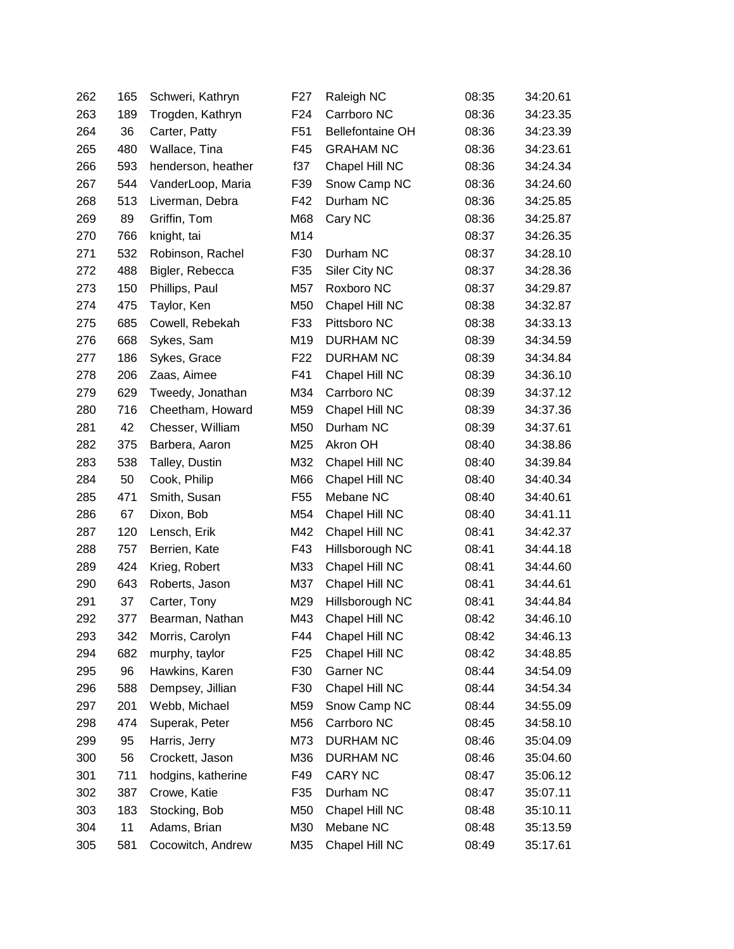| 262 | 165 | Schweri, Kathryn   | F <sub>27</sub> | Raleigh NC              | 08:35 | 34:20.61 |
|-----|-----|--------------------|-----------------|-------------------------|-------|----------|
| 263 | 189 | Trogden, Kathryn   | F <sub>24</sub> | Carrboro NC             | 08:36 | 34:23.35 |
| 264 | 36  | Carter, Patty      | F <sub>51</sub> | <b>Bellefontaine OH</b> | 08:36 | 34:23.39 |
| 265 | 480 | Wallace, Tina      | F45             | <b>GRAHAM NC</b>        | 08:36 | 34:23.61 |
| 266 | 593 | henderson, heather | f37             | Chapel Hill NC          | 08:36 | 34:24.34 |
| 267 | 544 | VanderLoop, Maria  | F39             | Snow Camp NC            | 08:36 | 34:24.60 |
| 268 | 513 | Liverman, Debra    | F42             | Durham NC               | 08:36 | 34:25.85 |
| 269 | 89  | Griffin, Tom       | M68             | Cary NC                 | 08:36 | 34:25.87 |
| 270 | 766 | knight, tai        | M14             |                         | 08:37 | 34:26.35 |
| 271 | 532 | Robinson, Rachel   | F30             | Durham NC               | 08:37 | 34:28.10 |
| 272 | 488 | Bigler, Rebecca    | F35             | Siler City NC           | 08:37 | 34:28.36 |
| 273 | 150 | Phillips, Paul     | M57             | Roxboro NC              | 08:37 | 34:29.87 |
| 274 | 475 | Taylor, Ken        | M50             | Chapel Hill NC          | 08:38 | 34:32.87 |
| 275 | 685 | Cowell, Rebekah    | F33             | Pittsboro NC            | 08:38 | 34:33.13 |
| 276 | 668 | Sykes, Sam         | M19             | DURHAM NC               | 08:39 | 34:34.59 |
| 277 | 186 | Sykes, Grace       | F <sub>22</sub> | <b>DURHAM NC</b>        | 08:39 | 34:34.84 |
| 278 | 206 | Zaas, Aimee        | F41             | Chapel Hill NC          | 08:39 | 34:36.10 |
| 279 | 629 | Tweedy, Jonathan   | M34             | Carrboro NC             | 08:39 | 34:37.12 |
| 280 | 716 | Cheetham, Howard   | M59             | Chapel Hill NC          | 08:39 | 34:37.36 |
| 281 | 42  | Chesser, William   | M50             | Durham NC               | 08:39 | 34:37.61 |
| 282 | 375 | Barbera, Aaron     | M25             | Akron OH                | 08:40 | 34:38.86 |
| 283 | 538 | Talley, Dustin     | M32             | Chapel Hill NC          | 08:40 | 34:39.84 |
| 284 | 50  | Cook, Philip       | M66             | Chapel Hill NC          | 08:40 | 34:40.34 |
| 285 | 471 | Smith, Susan       | F <sub>55</sub> | Mebane NC               | 08:40 | 34:40.61 |
| 286 | 67  | Dixon, Bob         | M54             | Chapel Hill NC          | 08:40 | 34:41.11 |
| 287 | 120 | Lensch, Erik       | M42             | Chapel Hill NC          | 08:41 | 34:42.37 |
| 288 | 757 | Berrien, Kate      | F43             | Hillsborough NC         | 08:41 | 34:44.18 |
| 289 | 424 | Krieg, Robert      | M33             | Chapel Hill NC          | 08:41 | 34:44.60 |
| 290 | 643 | Roberts, Jason     | M37             | Chapel Hill NC          | 08:41 | 34:44.61 |
| 291 | 37  | Carter, Tony       | M29             | Hillsborough NC         | 08:41 | 34:44.84 |
| 292 | 377 | Bearman, Nathan    | M43             | Chapel Hill NC          | 08:42 | 34:46.10 |
| 293 | 342 | Morris, Carolyn    | F44             | Chapel Hill NC          | 08:42 | 34:46.13 |
| 294 | 682 | murphy, taylor     | F <sub>25</sub> | Chapel Hill NC          | 08:42 | 34:48.85 |
| 295 | 96  | Hawkins, Karen     | F30             | Garner NC               | 08:44 | 34:54.09 |
| 296 | 588 | Dempsey, Jillian   | F30             | Chapel Hill NC          | 08:44 | 34:54.34 |
| 297 | 201 | Webb, Michael      | M59             | Snow Camp NC            | 08:44 | 34:55.09 |
| 298 | 474 | Superak, Peter     | M56             | Carrboro NC             | 08:45 | 34:58.10 |
| 299 | 95  | Harris, Jerry      | M73             | <b>DURHAM NC</b>        | 08:46 | 35:04.09 |
| 300 | 56  | Crockett, Jason    | M36             | <b>DURHAM NC</b>        | 08:46 | 35:04.60 |
| 301 | 711 | hodgins, katherine | F49             | <b>CARY NC</b>          | 08:47 | 35:06.12 |
| 302 | 387 | Crowe, Katie       | F35             | Durham NC               | 08:47 | 35:07.11 |
| 303 | 183 | Stocking, Bob      | M50             | Chapel Hill NC          | 08:48 | 35:10.11 |
| 304 | 11  | Adams, Brian       | M30             | Mebane NC               | 08:48 | 35:13.59 |
| 305 | 581 | Cocowitch, Andrew  | M35             | Chapel Hill NC          | 08:49 | 35:17.61 |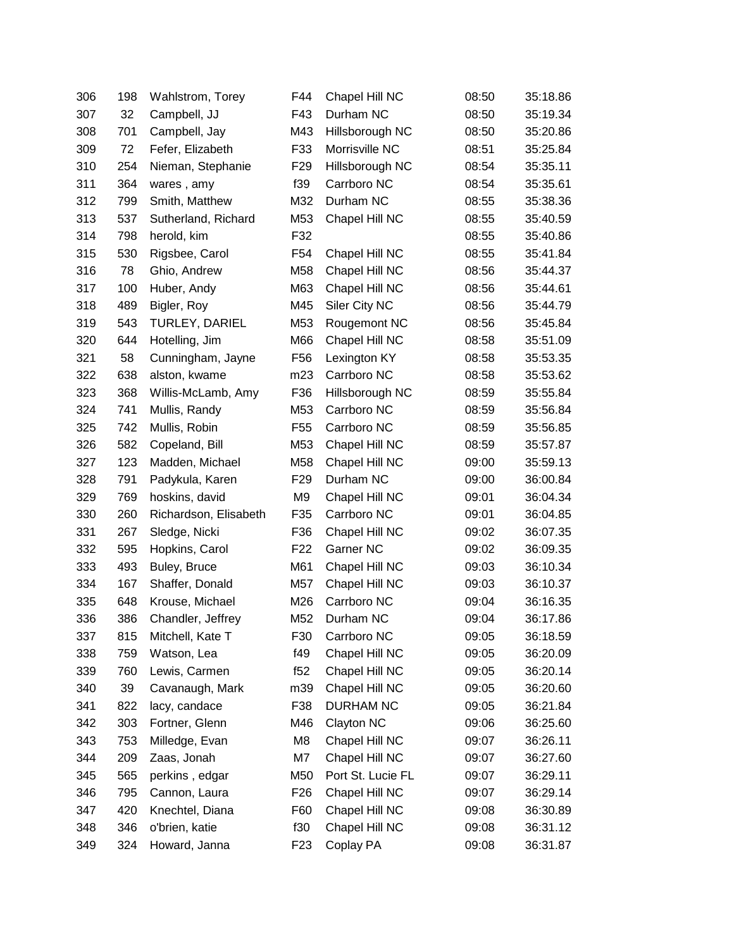| 306 | 198 | Wahlstrom, Torey      | F44             | Chapel Hill NC    | 08:50 | 35:18.86 |
|-----|-----|-----------------------|-----------------|-------------------|-------|----------|
| 307 | 32  | Campbell, JJ          | F43             | Durham NC         | 08:50 | 35:19.34 |
| 308 | 701 | Campbell, Jay         | M43             | Hillsborough NC   | 08:50 | 35:20.86 |
| 309 | 72  | Fefer, Elizabeth      | F33             | Morrisville NC    | 08:51 | 35:25.84 |
| 310 | 254 | Nieman, Stephanie     | F <sub>29</sub> | Hillsborough NC   | 08:54 | 35:35.11 |
| 311 | 364 | wares, amy            | f39             | Carrboro NC       | 08:54 | 35:35.61 |
| 312 | 799 | Smith, Matthew        | M32             | Durham NC         | 08:55 | 35:38.36 |
| 313 | 537 | Sutherland, Richard   | M53             | Chapel Hill NC    | 08:55 | 35:40.59 |
| 314 | 798 | herold, kim           | F32             |                   | 08:55 | 35:40.86 |
| 315 | 530 | Rigsbee, Carol        | F <sub>54</sub> | Chapel Hill NC    | 08:55 | 35:41.84 |
| 316 | 78  | Ghio, Andrew          | M58             | Chapel Hill NC    | 08:56 | 35:44.37 |
| 317 | 100 | Huber, Andy           | M63             | Chapel Hill NC    | 08:56 | 35:44.61 |
| 318 | 489 | Bigler, Roy           | M45             | Siler City NC     | 08:56 | 35:44.79 |
| 319 | 543 | TURLEY, DARIEL        | M53             | Rougemont NC      | 08:56 | 35:45.84 |
| 320 | 644 | Hotelling, Jim        | M66             | Chapel Hill NC    | 08:58 | 35:51.09 |
| 321 | 58  | Cunningham, Jayne     | F <sub>56</sub> | Lexington KY      | 08:58 | 35:53.35 |
| 322 | 638 | alston, kwame         | m23             | Carrboro NC       | 08:58 | 35:53.62 |
| 323 | 368 | Willis-McLamb, Amy    | F36             | Hillsborough NC   | 08:59 | 35:55.84 |
| 324 | 741 | Mullis, Randy         | M53             | Carrboro NC       | 08:59 | 35:56.84 |
| 325 | 742 | Mullis, Robin         | F <sub>55</sub> | Carrboro NC       | 08:59 | 35:56.85 |
| 326 | 582 | Copeland, Bill        | M53             | Chapel Hill NC    | 08:59 | 35:57.87 |
| 327 | 123 | Madden, Michael       | M58             | Chapel Hill NC    | 09:00 | 35:59.13 |
| 328 | 791 | Padykula, Karen       | F <sub>29</sub> | Durham NC         | 09:00 | 36:00.84 |
| 329 | 769 | hoskins, david        | M9              | Chapel Hill NC    | 09:01 | 36:04.34 |
| 330 | 260 | Richardson, Elisabeth | F35             | Carrboro NC       | 09:01 | 36:04.85 |
| 331 | 267 | Sledge, Nicki         | F36             | Chapel Hill NC    | 09:02 | 36:07.35 |
| 332 | 595 | Hopkins, Carol        | F <sub>22</sub> | Garner NC         | 09:02 | 36:09.35 |
| 333 | 493 | Buley, Bruce          | M61             | Chapel Hill NC    | 09:03 | 36:10.34 |
| 334 | 167 | Shaffer, Donald       | M57             | Chapel Hill NC    | 09:03 | 36:10.37 |
| 335 | 648 | Krouse, Michael       | M26             | Carrboro NC       | 09:04 | 36:16.35 |
| 336 | 386 | Chandler, Jeffrey     | M52             | Durham NC         | 09:04 | 36:17.86 |
| 337 | 815 | Mitchell, Kate T      | F30             | Carrboro NC       | 09:05 | 36:18.59 |
| 338 | 759 | Watson, Lea           | f49             | Chapel Hill NC    | 09:05 | 36:20.09 |
| 339 | 760 | Lewis, Carmen         | f52             | Chapel Hill NC    | 09:05 | 36:20.14 |
| 340 | 39  | Cavanaugh, Mark       | m39             | Chapel Hill NC    | 09:05 | 36:20.60 |
| 341 | 822 | lacy, candace         | F38             | <b>DURHAM NC</b>  | 09:05 | 36:21.84 |
| 342 | 303 | Fortner, Glenn        | M46             | Clayton NC        | 09:06 | 36:25.60 |
| 343 | 753 | Milledge, Evan        | M8              | Chapel Hill NC    | 09:07 | 36:26.11 |
| 344 | 209 | Zaas, Jonah           | M7              | Chapel Hill NC    | 09:07 | 36:27.60 |
| 345 | 565 | perkins, edgar        | M50             | Port St. Lucie FL | 09:07 | 36:29.11 |
| 346 | 795 | Cannon, Laura         | F <sub>26</sub> | Chapel Hill NC    | 09:07 | 36:29.14 |
| 347 | 420 | Knechtel, Diana       | F60             | Chapel Hill NC    | 09:08 | 36:30.89 |
| 348 | 346 | o'brien, katie        | f30             | Chapel Hill NC    | 09:08 | 36:31.12 |
| 349 | 324 | Howard, Janna         | F <sub>23</sub> | Coplay PA         | 09:08 | 36:31.87 |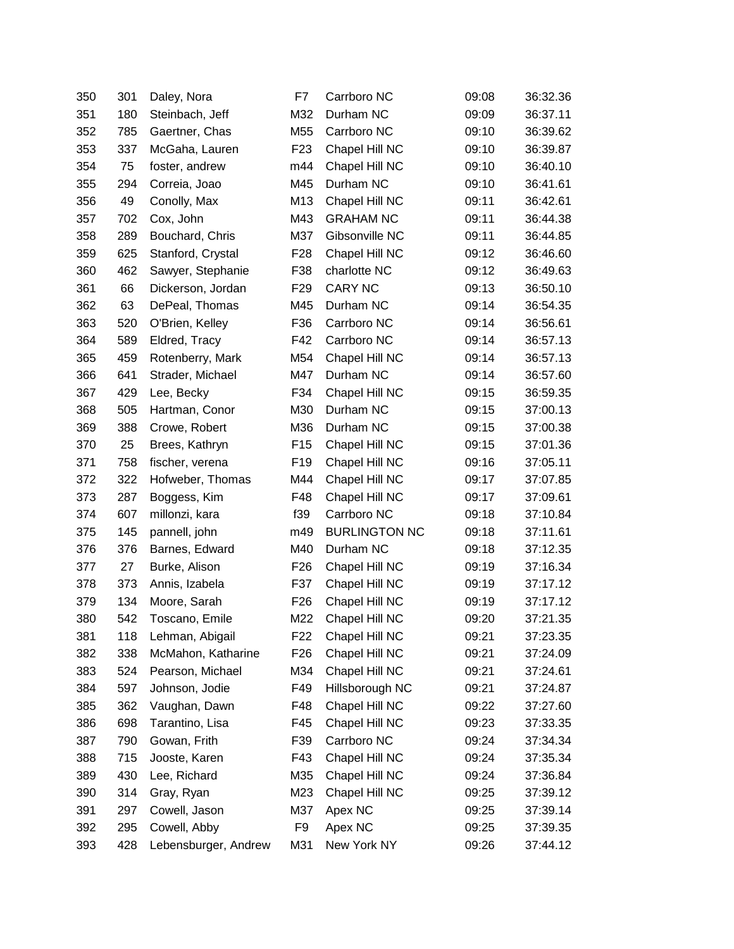| 350 | 301 | Daley, Nora          | F7              | Carrboro NC          | 09:08 | 36:32.36 |
|-----|-----|----------------------|-----------------|----------------------|-------|----------|
| 351 | 180 | Steinbach, Jeff      | M32             | Durham NC            | 09:09 | 36:37.11 |
| 352 | 785 | Gaertner, Chas       | M55             | Carrboro NC          | 09:10 | 36:39.62 |
| 353 | 337 | McGaha, Lauren       | F <sub>23</sub> | Chapel Hill NC       | 09:10 | 36:39.87 |
| 354 | 75  | foster, andrew       | m44             | Chapel Hill NC       | 09:10 | 36:40.10 |
| 355 | 294 | Correia, Joao        | M45             | Durham NC            | 09:10 | 36:41.61 |
| 356 | 49  | Conolly, Max         | M13             | Chapel Hill NC       | 09:11 | 36:42.61 |
| 357 | 702 | Cox, John            | M43             | <b>GRAHAM NC</b>     | 09:11 | 36:44.38 |
| 358 | 289 | Bouchard, Chris      | M37             | Gibsonville NC       | 09:11 | 36:44.85 |
| 359 | 625 | Stanford, Crystal    | F <sub>28</sub> | Chapel Hill NC       | 09:12 | 36:46.60 |
| 360 | 462 | Sawyer, Stephanie    | F38             | charlotte NC         | 09:12 | 36:49.63 |
| 361 | 66  | Dickerson, Jordan    | F <sub>29</sub> | <b>CARY NC</b>       | 09:13 | 36:50.10 |
| 362 | 63  | DePeal, Thomas       | M45             | Durham NC            | 09:14 | 36:54.35 |
| 363 | 520 | O'Brien, Kelley      | F36             | Carrboro NC          | 09:14 | 36:56.61 |
| 364 | 589 | Eldred, Tracy        | F42             | Carrboro NC          | 09:14 | 36:57.13 |
| 365 | 459 | Rotenberry, Mark     | M54             | Chapel Hill NC       | 09:14 | 36:57.13 |
| 366 | 641 | Strader, Michael     | M47             | Durham NC            | 09:14 | 36:57.60 |
| 367 | 429 | Lee, Becky           | F34             | Chapel Hill NC       | 09:15 | 36:59.35 |
| 368 | 505 | Hartman, Conor       | M30             | Durham NC            | 09:15 | 37:00.13 |
| 369 | 388 | Crowe, Robert        | M36             | Durham NC            | 09:15 | 37:00.38 |
| 370 | 25  | Brees, Kathryn       | F <sub>15</sub> | Chapel Hill NC       | 09:15 | 37:01.36 |
| 371 | 758 | fischer, verena      | F <sub>19</sub> | Chapel Hill NC       | 09:16 | 37:05.11 |
| 372 | 322 | Hofweber, Thomas     | M44             | Chapel Hill NC       | 09:17 | 37:07.85 |
| 373 | 287 | Boggess, Kim         | F48             | Chapel Hill NC       | 09:17 | 37:09.61 |
| 374 | 607 | millonzi, kara       | f39             | Carrboro NC          | 09:18 | 37:10.84 |
| 375 | 145 | pannell, john        | m49             | <b>BURLINGTON NC</b> | 09:18 | 37:11.61 |
| 376 | 376 | Barnes, Edward       | M40             | Durham NC            | 09:18 | 37:12.35 |
| 377 | 27  | Burke, Alison        | F <sub>26</sub> | Chapel Hill NC       | 09:19 | 37:16.34 |
| 378 | 373 | Annis, Izabela       | F37             | Chapel Hill NC       | 09:19 | 37:17.12 |
| 379 | 134 | Moore, Sarah         | F <sub>26</sub> | Chapel Hill NC       | 09:19 | 37:17.12 |
| 380 | 542 | Toscano, Emile       | M22             | Chapel Hill NC       | 09:20 | 37:21.35 |
| 381 | 118 | Lehman, Abigail      | F <sub>22</sub> | Chapel Hill NC       | 09:21 | 37:23.35 |
| 382 | 338 | McMahon, Katharine   | F <sub>26</sub> | Chapel Hill NC       | 09:21 | 37:24.09 |
| 383 | 524 | Pearson, Michael     | M34             | Chapel Hill NC       | 09:21 | 37:24.61 |
| 384 | 597 | Johnson, Jodie       | F49             | Hillsborough NC      | 09:21 | 37:24.87 |
| 385 | 362 | Vaughan, Dawn        | F48             | Chapel Hill NC       | 09:22 | 37:27.60 |
| 386 | 698 | Tarantino, Lisa      | F45             | Chapel Hill NC       | 09:23 | 37:33.35 |
| 387 | 790 | Gowan, Frith         | F39             | Carrboro NC          | 09:24 | 37:34.34 |
| 388 | 715 | Jooste, Karen        | F43             | Chapel Hill NC       | 09:24 | 37:35.34 |
| 389 | 430 | Lee, Richard         | M35             | Chapel Hill NC       | 09:24 | 37:36.84 |
| 390 | 314 | Gray, Ryan           | M23             | Chapel Hill NC       | 09:25 | 37:39.12 |
| 391 | 297 | Cowell, Jason        | M37             | Apex NC              | 09:25 | 37:39.14 |
| 392 | 295 | Cowell, Abby         | F9              | Apex NC              | 09:25 | 37:39.35 |
| 393 | 428 | Lebensburger, Andrew | M31             | New York NY          | 09:26 | 37:44.12 |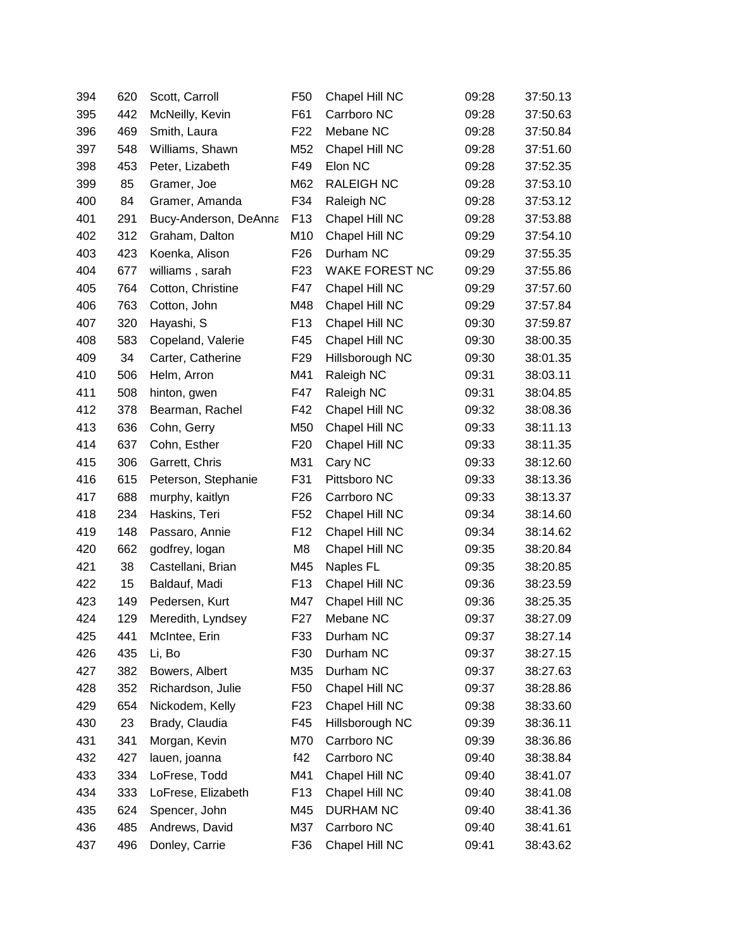| 394 | 620 | Scott, Carroll        | F <sub>50</sub> | Chapel Hill NC        | 09:28 | 37:50.13 |
|-----|-----|-----------------------|-----------------|-----------------------|-------|----------|
| 395 | 442 | McNeilly, Kevin       | F61             | Carrboro NC           | 09:28 | 37:50.63 |
| 396 | 469 | Smith, Laura          | F <sub>22</sub> | Mebane NC             | 09:28 | 37:50.84 |
| 397 | 548 | Williams, Shawn       | M52             | Chapel Hill NC        | 09:28 | 37:51.60 |
| 398 | 453 | Peter, Lizabeth       | F49             | Elon NC               | 09:28 | 37:52.35 |
| 399 | 85  | Gramer, Joe           | M62             | RALEIGH NC            | 09:28 | 37:53.10 |
| 400 | 84  | Gramer, Amanda        | F34             | Raleigh NC            | 09:28 | 37:53.12 |
| 401 | 291 | Bucy-Anderson, DeAnna | F <sub>13</sub> | Chapel Hill NC        | 09:28 | 37:53.88 |
| 402 | 312 | Graham, Dalton        | M10             | Chapel Hill NC        | 09:29 | 37:54.10 |
| 403 | 423 | Koenka, Alison        | F <sub>26</sub> | Durham NC             | 09:29 | 37:55.35 |
| 404 | 677 | williams, sarah       | F <sub>23</sub> | <b>WAKE FOREST NC</b> | 09:29 | 37:55.86 |
| 405 | 764 | Cotton, Christine     | F47             | Chapel Hill NC        | 09:29 | 37:57.60 |
| 406 | 763 | Cotton, John          | M48             | Chapel Hill NC        | 09:29 | 37:57.84 |
| 407 | 320 | Hayashi, S            | F <sub>13</sub> | Chapel Hill NC        | 09:30 | 37:59.87 |
| 408 | 583 | Copeland, Valerie     | F45             | Chapel Hill NC        | 09:30 | 38:00.35 |
| 409 | 34  | Carter, Catherine     | F <sub>29</sub> | Hillsborough NC       | 09:30 | 38:01.35 |
| 410 | 506 | Helm, Arron           | M41             | Raleigh NC            | 09:31 | 38:03.11 |
| 411 | 508 | hinton, gwen          | F47             | Raleigh NC            | 09:31 | 38:04.85 |
| 412 | 378 | Bearman, Rachel       | F42             | Chapel Hill NC        | 09:32 | 38:08.36 |
| 413 | 636 | Cohn, Gerry           | M50             | Chapel Hill NC        | 09:33 | 38:11.13 |
| 414 | 637 | Cohn, Esther          | F <sub>20</sub> | Chapel Hill NC        | 09:33 | 38:11.35 |
| 415 | 306 | Garrett, Chris        | M31             | Cary NC               | 09:33 | 38:12.60 |
| 416 | 615 | Peterson, Stephanie   | F31             | Pittsboro NC          | 09:33 | 38:13.36 |
| 417 | 688 | murphy, kaitlyn       | F <sub>26</sub> | Carrboro NC           | 09:33 | 38:13.37 |
| 418 | 234 | Haskins, Teri         | F <sub>52</sub> | Chapel Hill NC        | 09:34 | 38:14.60 |
| 419 | 148 | Passaro, Annie        | F <sub>12</sub> | Chapel Hill NC        | 09:34 | 38:14.62 |
| 420 | 662 | godfrey, logan        | M8              | Chapel Hill NC        | 09:35 | 38:20.84 |
| 421 | 38  | Castellani, Brian     | M45             | Naples FL             | 09:35 | 38:20.85 |
| 422 | 15  | Baldauf, Madi         | F <sub>13</sub> | Chapel Hill NC        | 09:36 | 38:23.59 |
| 423 | 149 | Pedersen, Kurt        | M47             | Chapel Hill NC        | 09:36 | 38:25.35 |
| 424 | 129 | Meredith, Lyndsey     | F <sub>27</sub> | Mebane NC             | 09:37 | 38:27.09 |
| 425 | 441 | McIntee, Erin         | F33             | Durham NC             | 09:37 | 38:27.14 |
| 426 | 435 | Li, Bo                | F30             | Durham NC             | 09:37 | 38:27.15 |
| 427 | 382 | Bowers, Albert        | M35             | Durham NC             | 09:37 | 38:27.63 |
| 428 | 352 | Richardson, Julie     | F <sub>50</sub> | Chapel Hill NC        | 09:37 | 38:28.86 |
| 429 | 654 | Nickodem, Kelly       | F <sub>23</sub> | Chapel Hill NC        | 09:38 | 38:33.60 |
| 430 | 23  | Brady, Claudia        | F45             | Hillsborough NC       | 09:39 | 38:36.11 |
| 431 | 341 | Morgan, Kevin         | M70             | Carrboro NC           | 09:39 | 38:36.86 |
| 432 | 427 | lauen, joanna         | f42             | Carrboro NC           | 09:40 | 38:38.84 |
| 433 | 334 | LoFrese, Todd         | M41             | Chapel Hill NC        | 09:40 | 38:41.07 |
| 434 | 333 | LoFrese, Elizabeth    | F <sub>13</sub> | Chapel Hill NC        | 09:40 | 38:41.08 |
| 435 | 624 | Spencer, John         | M45             | <b>DURHAM NC</b>      | 09:40 | 38:41.36 |
| 436 | 485 | Andrews, David        | M37             | Carrboro NC           | 09:40 | 38:41.61 |
| 437 | 496 | Donley, Carrie        | F36             | Chapel Hill NC        | 09:41 | 38:43.62 |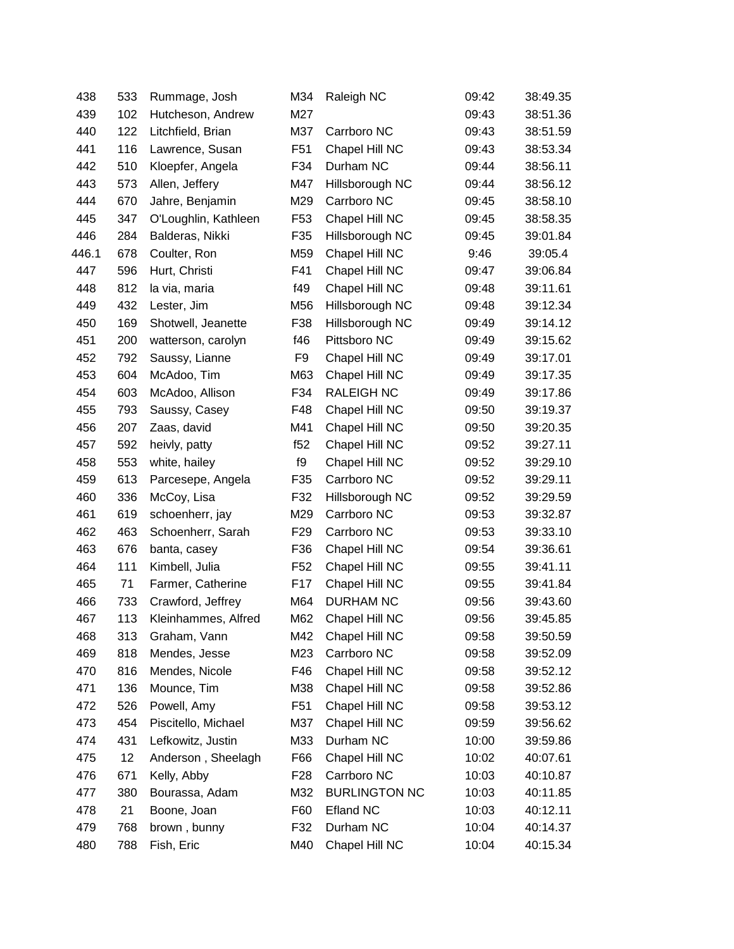| 438   | 533 | Rummage, Josh        | M34             | Raleigh NC           | 09:42 | 38:49.35 |
|-------|-----|----------------------|-----------------|----------------------|-------|----------|
| 439   | 102 | Hutcheson, Andrew    | M27             |                      | 09:43 | 38:51.36 |
| 440   | 122 | Litchfield, Brian    | M37             | Carrboro NC          | 09:43 | 38:51.59 |
| 441   | 116 | Lawrence, Susan      | F <sub>51</sub> | Chapel Hill NC       | 09:43 | 38:53.34 |
| 442   | 510 | Kloepfer, Angela     | F34             | Durham NC            | 09:44 | 38:56.11 |
| 443   | 573 | Allen, Jeffery       | M47             | Hillsborough NC      | 09:44 | 38:56.12 |
| 444   | 670 | Jahre, Benjamin      | M29             | Carrboro NC          | 09:45 | 38:58.10 |
| 445   | 347 | O'Loughlin, Kathleen | F <sub>53</sub> | Chapel Hill NC       | 09:45 | 38:58.35 |
| 446   | 284 | Balderas, Nikki      | F35             | Hillsborough NC      | 09:45 | 39:01.84 |
| 446.1 | 678 | Coulter, Ron         | M59             | Chapel Hill NC       | 9:46  | 39:05.4  |
| 447   | 596 | Hurt, Christi        | F41             | Chapel Hill NC       | 09:47 | 39:06.84 |
| 448   | 812 | la via, maria        | f49             | Chapel Hill NC       | 09:48 | 39:11.61 |
| 449   | 432 | Lester, Jim          | M56             | Hillsborough NC      | 09:48 | 39:12.34 |
| 450   | 169 | Shotwell, Jeanette   | F38             | Hillsborough NC      | 09:49 | 39:14.12 |
| 451   | 200 | watterson, carolyn   | f46             | Pittsboro NC         | 09:49 | 39:15.62 |
| 452   | 792 | Saussy, Lianne       | F9              | Chapel Hill NC       | 09:49 | 39:17.01 |
| 453   | 604 | McAdoo, Tim          | M63             | Chapel Hill NC       | 09:49 | 39:17.35 |
| 454   | 603 | McAdoo, Allison      | F34             | <b>RALEIGH NC</b>    | 09:49 | 39:17.86 |
| 455   | 793 | Saussy, Casey        | F48             | Chapel Hill NC       | 09:50 | 39:19.37 |
| 456   | 207 | Zaas, david          | M41             | Chapel Hill NC       | 09:50 | 39:20.35 |
| 457   | 592 | heivly, patty        | f52             | Chapel Hill NC       | 09:52 | 39:27.11 |
| 458   | 553 | white, hailey        | f9              | Chapel Hill NC       | 09:52 | 39:29.10 |
| 459   | 613 | Parcesepe, Angela    | F35             | Carrboro NC          | 09:52 | 39:29.11 |
| 460   | 336 | McCoy, Lisa          | F32             | Hillsborough NC      | 09:52 | 39:29.59 |
| 461   | 619 | schoenherr, jay      | M29             | Carrboro NC          | 09:53 | 39:32.87 |
| 462   | 463 | Schoenherr, Sarah    | F <sub>29</sub> | Carrboro NC          | 09:53 | 39:33.10 |
| 463   | 676 | banta, casey         | F36             | Chapel Hill NC       | 09:54 | 39:36.61 |
| 464   | 111 | Kimbell, Julia       | F <sub>52</sub> | Chapel Hill NC       | 09:55 | 39:41.11 |
| 465   | 71  | Farmer, Catherine    | F <sub>17</sub> | Chapel Hill NC       | 09:55 | 39:41.84 |
| 466   | 733 | Crawford, Jeffrey    | M64             | <b>DURHAM NC</b>     | 09:56 | 39:43.60 |
| 467   | 113 | Kleinhammes, Alfred  | M62             | Chapel Hill NC       | 09:56 | 39:45.85 |
| 468   | 313 | Graham, Vann         | M42             | Chapel Hill NC       | 09:58 | 39:50.59 |
| 469   | 818 | Mendes, Jesse        | M23             | Carrboro NC          | 09:58 | 39:52.09 |
| 470   | 816 | Mendes, Nicole       | F46             | Chapel Hill NC       | 09:58 | 39:52.12 |
| 471   | 136 | Mounce, Tim          | M38             | Chapel Hill NC       | 09:58 | 39:52.86 |
| 472   | 526 | Powell, Amy          | F <sub>51</sub> | Chapel Hill NC       | 09:58 | 39:53.12 |
| 473   | 454 | Piscitello, Michael  | M37             | Chapel Hill NC       | 09:59 | 39:56.62 |
| 474   | 431 | Lefkowitz, Justin    | M33             | Durham NC            | 10:00 | 39:59.86 |
| 475   | 12  | Anderson, Sheelagh   | F66             | Chapel Hill NC       | 10:02 | 40:07.61 |
| 476   | 671 | Kelly, Abby          | F <sub>28</sub> | Carrboro NC          | 10:03 | 40:10.87 |
| 477   | 380 | Bourassa, Adam       | M32             | <b>BURLINGTON NC</b> | 10:03 | 40:11.85 |
| 478   | 21  | Boone, Joan          | F60             | <b>Efland NC</b>     | 10:03 | 40:12.11 |
| 479   | 768 | brown, bunny         | F32             | Durham NC            | 10:04 | 40:14.37 |
| 480   | 788 | Fish, Eric           | M40             | Chapel Hill NC       | 10:04 | 40:15.34 |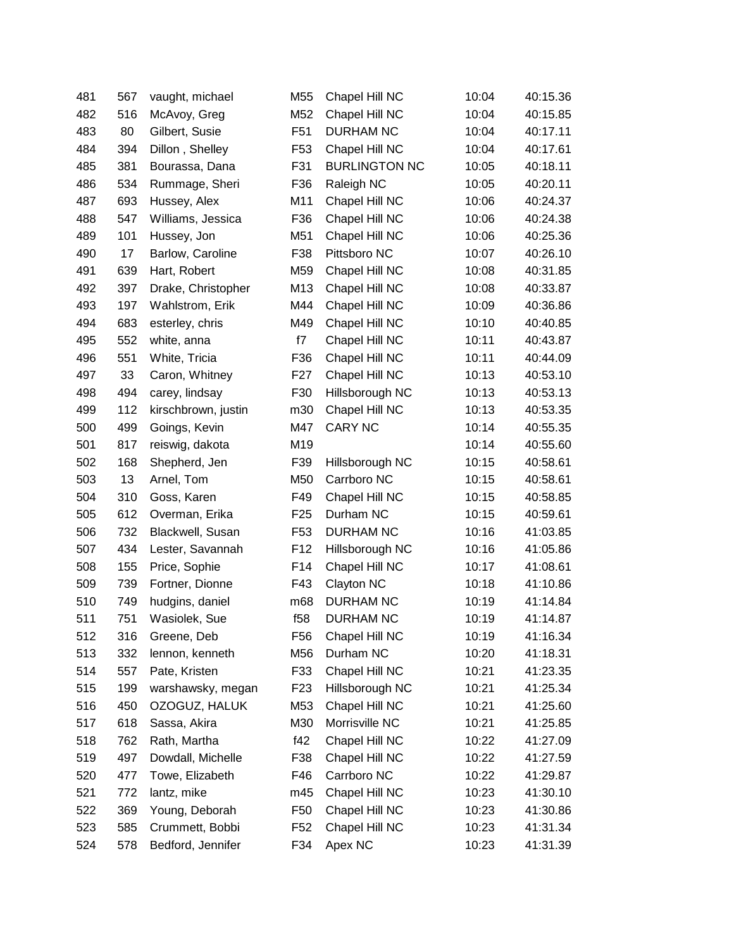| 481 | 567 | vaught, michael     | M55             | Chapel Hill NC       | 10:04 | 40:15.36 |
|-----|-----|---------------------|-----------------|----------------------|-------|----------|
| 482 | 516 | McAvoy, Greg        | M52             | Chapel Hill NC       | 10:04 | 40:15.85 |
| 483 | 80  | Gilbert, Susie      | F <sub>51</sub> | <b>DURHAM NC</b>     | 10:04 | 40:17.11 |
| 484 | 394 | Dillon, Shelley     | F <sub>53</sub> | Chapel Hill NC       | 10:04 | 40:17.61 |
| 485 | 381 | Bourassa, Dana      | F31             | <b>BURLINGTON NC</b> | 10:05 | 40:18.11 |
| 486 | 534 | Rummage, Sheri      | F36             | Raleigh NC           | 10:05 | 40:20.11 |
| 487 | 693 | Hussey, Alex        | M11             | Chapel Hill NC       | 10:06 | 40:24.37 |
| 488 | 547 | Williams, Jessica   | F36             | Chapel Hill NC       | 10:06 | 40:24.38 |
| 489 | 101 | Hussey, Jon         | M51             | Chapel Hill NC       | 10:06 | 40:25.36 |
| 490 | 17  | Barlow, Caroline    | F38             | Pittsboro NC         | 10:07 | 40:26.10 |
| 491 | 639 | Hart, Robert        | M59             | Chapel Hill NC       | 10:08 | 40:31.85 |
| 492 | 397 | Drake, Christopher  | M13             | Chapel Hill NC       | 10:08 | 40:33.87 |
| 493 | 197 | Wahlstrom, Erik     | M44             | Chapel Hill NC       | 10:09 | 40:36.86 |
| 494 | 683 | esterley, chris     | M49             | Chapel Hill NC       | 10:10 | 40:40.85 |
| 495 | 552 | white, anna         | f7              | Chapel Hill NC       | 10:11 | 40:43.87 |
| 496 | 551 | White, Tricia       | F36             | Chapel Hill NC       | 10:11 | 40:44.09 |
| 497 | 33  | Caron, Whitney      | F <sub>27</sub> | Chapel Hill NC       | 10:13 | 40:53.10 |
| 498 | 494 | carey, lindsay      | F30             | Hillsborough NC      | 10:13 | 40:53.13 |
| 499 | 112 | kirschbrown, justin | m30             | Chapel Hill NC       | 10:13 | 40:53.35 |
| 500 | 499 | Goings, Kevin       | M47             | <b>CARY NC</b>       | 10:14 | 40:55.35 |
| 501 | 817 | reiswig, dakota     | M19             |                      | 10:14 | 40:55.60 |
| 502 | 168 | Shepherd, Jen       | F39             | Hillsborough NC      | 10:15 | 40:58.61 |
| 503 | 13  | Arnel, Tom          | M50             | Carrboro NC          | 10:15 | 40:58.61 |
| 504 | 310 | Goss, Karen         | F49             | Chapel Hill NC       | 10:15 | 40:58.85 |
| 505 | 612 | Overman, Erika      | F <sub>25</sub> | Durham NC            | 10:15 | 40:59.61 |
| 506 | 732 | Blackwell, Susan    | F <sub>53</sub> | <b>DURHAM NC</b>     | 10:16 | 41:03.85 |
| 507 | 434 | Lester, Savannah    | F <sub>12</sub> | Hillsborough NC      | 10:16 | 41:05.86 |
| 508 | 155 | Price, Sophie       | F14             | Chapel Hill NC       | 10:17 | 41:08.61 |
| 509 | 739 | Fortner, Dionne     | F43             | Clayton NC           | 10:18 | 41:10.86 |
| 510 | 749 | hudgins, daniel     | m68             | <b>DURHAM NC</b>     | 10:19 | 41:14.84 |
| 511 | 751 | Wasiolek, Sue       | f58             | <b>DURHAM NC</b>     | 10:19 | 41:14.87 |
| 512 | 316 | Greene, Deb         | F <sub>56</sub> | Chapel Hill NC       | 10:19 | 41:16.34 |
| 513 | 332 | lennon, kenneth     | M56             | Durham NC            | 10:20 | 41:18.31 |
| 514 | 557 | Pate, Kristen       | F33             | Chapel Hill NC       | 10:21 | 41:23.35 |
| 515 | 199 | warshawsky, megan   | F <sub>23</sub> | Hillsborough NC      | 10:21 | 41:25.34 |
| 516 | 450 | OZOGUZ, HALUK       | M53             | Chapel Hill NC       | 10:21 | 41:25.60 |
| 517 | 618 | Sassa, Akira        | M30             | Morrisville NC       | 10:21 | 41:25.85 |
| 518 | 762 | Rath, Martha        | f42             | Chapel Hill NC       | 10:22 | 41:27.09 |
| 519 | 497 | Dowdall, Michelle   | F38             | Chapel Hill NC       | 10:22 | 41:27.59 |
| 520 | 477 | Towe, Elizabeth     | F46             | Carrboro NC          | 10:22 | 41:29.87 |
| 521 | 772 | lantz, mike         | m45             | Chapel Hill NC       | 10:23 | 41:30.10 |
| 522 | 369 | Young, Deborah      | F <sub>50</sub> | Chapel Hill NC       | 10:23 | 41:30.86 |
| 523 | 585 | Crummett, Bobbi     | F52             | Chapel Hill NC       | 10:23 | 41:31.34 |
| 524 | 578 | Bedford, Jennifer   | F34             | Apex NC              | 10:23 | 41:31.39 |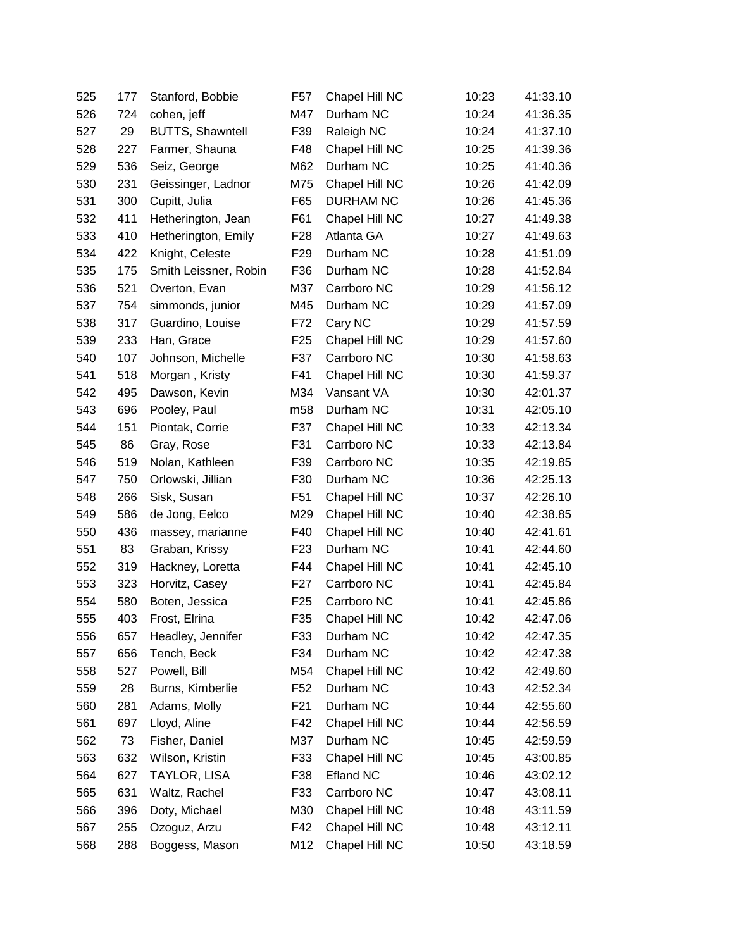| 525 | 177 | Stanford, Bobbie        | F <sub>57</sub> | Chapel Hill NC   | 10:23 | 41:33.10 |
|-----|-----|-------------------------|-----------------|------------------|-------|----------|
| 526 | 724 | cohen, jeff             | M47             | Durham NC        | 10:24 | 41:36.35 |
| 527 | 29  | <b>BUTTS, Shawntell</b> | F39             | Raleigh NC       | 10:24 | 41:37.10 |
| 528 | 227 | Farmer, Shauna          | F48             | Chapel Hill NC   | 10:25 | 41:39.36 |
| 529 | 536 | Seiz, George            | M62             | Durham NC        | 10:25 | 41:40.36 |
| 530 | 231 | Geissinger, Ladnor      | M75             | Chapel Hill NC   | 10:26 | 41:42.09 |
| 531 | 300 | Cupitt, Julia           | F65             | <b>DURHAM NC</b> | 10:26 | 41:45.36 |
| 532 | 411 | Hetherington, Jean      | F61             | Chapel Hill NC   | 10:27 | 41:49.38 |
| 533 | 410 | Hetherington, Emily     | F <sub>28</sub> | Atlanta GA       | 10:27 | 41:49.63 |
| 534 | 422 | Knight, Celeste         | F <sub>29</sub> | Durham NC        | 10:28 | 41:51.09 |
| 535 | 175 | Smith Leissner, Robin   | F36             | Durham NC        | 10:28 | 41:52.84 |
| 536 | 521 | Overton, Evan           | M37             | Carrboro NC      | 10:29 | 41:56.12 |
| 537 | 754 | simmonds, junior        | M45             | Durham NC        | 10:29 | 41:57.09 |
| 538 | 317 | Guardino, Louise        | F72             | Cary NC          | 10:29 | 41:57.59 |
| 539 | 233 | Han, Grace              | F <sub>25</sub> | Chapel Hill NC   | 10:29 | 41:57.60 |
| 540 | 107 | Johnson, Michelle       | F37             | Carrboro NC      | 10:30 | 41:58.63 |
| 541 | 518 | Morgan, Kristy          | F41             | Chapel Hill NC   | 10:30 | 41:59.37 |
| 542 | 495 | Dawson, Kevin           | M34             | Vansant VA       | 10:30 | 42:01.37 |
| 543 | 696 | Pooley, Paul            | m <sub>58</sub> | Durham NC        | 10:31 | 42:05.10 |
| 544 | 151 | Piontak, Corrie         | F37             | Chapel Hill NC   | 10:33 | 42:13.34 |
| 545 | 86  | Gray, Rose              | F31             | Carrboro NC      | 10:33 | 42:13.84 |
| 546 | 519 | Nolan, Kathleen         | F39             | Carrboro NC      | 10:35 | 42:19.85 |
| 547 | 750 | Orlowski, Jillian       | F30             | Durham NC        | 10:36 | 42:25.13 |
| 548 | 266 | Sisk, Susan             | F <sub>51</sub> | Chapel Hill NC   | 10:37 | 42:26.10 |
| 549 | 586 | de Jong, Eelco          | M29             | Chapel Hill NC   | 10:40 | 42:38.85 |
| 550 | 436 | massey, marianne        | F40             | Chapel Hill NC   | 10:40 | 42:41.61 |
| 551 | 83  | Graban, Krissy          | F <sub>23</sub> | Durham NC        | 10:41 | 42:44.60 |
| 552 | 319 | Hackney, Loretta        | F44             | Chapel Hill NC   | 10:41 | 42:45.10 |
| 553 | 323 | Horvitz, Casey          | F <sub>27</sub> | Carrboro NC      | 10:41 | 42:45.84 |
| 554 | 580 | Boten, Jessica          | F <sub>25</sub> | Carrboro NC      | 10:41 | 42:45.86 |
| 555 | 403 | Frost, Elrina           | F35             | Chapel Hill NC   | 10:42 | 42:47.06 |
| 556 | 657 | Headley, Jennifer       | F33             | Durham NC        | 10:42 | 42:47.35 |
| 557 | 656 | Tench, Beck             | F34             | Durham NC        | 10:42 | 42:47.38 |
| 558 | 527 | Powell, Bill            | M54             | Chapel Hill NC   | 10:42 | 42:49.60 |
| 559 | 28  | Burns, Kimberlie        | F <sub>52</sub> | Durham NC        | 10:43 | 42:52.34 |
| 560 | 281 | Adams, Molly            | F21             | Durham NC        | 10:44 | 42:55.60 |
| 561 | 697 | Lloyd, Aline            | F42             | Chapel Hill NC   | 10:44 | 42:56.59 |
| 562 | 73  | Fisher, Daniel          | M37             | Durham NC        | 10:45 | 42:59.59 |
| 563 | 632 | Wilson, Kristin         | F33             | Chapel Hill NC   | 10:45 | 43:00.85 |
| 564 | 627 | TAYLOR, LISA            | F38             | <b>Efland NC</b> | 10:46 | 43:02.12 |
| 565 | 631 | Waltz, Rachel           | F33             | Carrboro NC      | 10:47 | 43:08.11 |
| 566 | 396 | Doty, Michael           | M30             | Chapel Hill NC   | 10:48 | 43:11.59 |
| 567 | 255 | Ozoguz, Arzu            | F42             | Chapel Hill NC   | 10:48 | 43:12.11 |
| 568 | 288 | Boggess, Mason          | M12             | Chapel Hill NC   | 10:50 | 43:18.59 |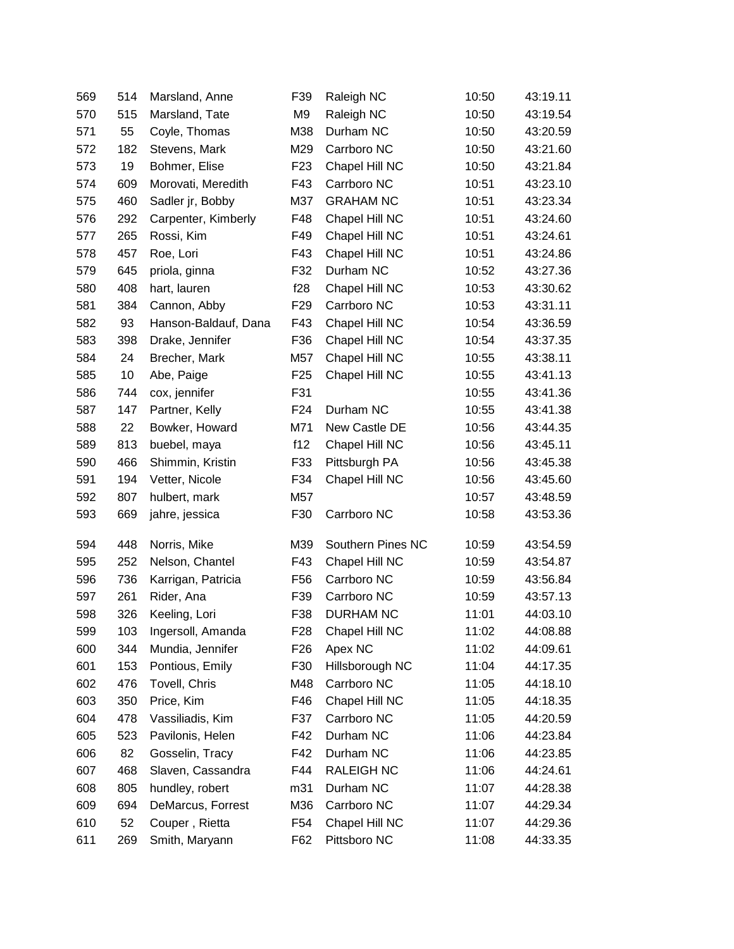| 569 | 514 | Marsland, Anne       | F39             | Raleigh NC        | 10:50 | 43:19.11 |
|-----|-----|----------------------|-----------------|-------------------|-------|----------|
| 570 | 515 | Marsland, Tate       | M9              | Raleigh NC        | 10:50 | 43:19.54 |
| 571 | 55  | Coyle, Thomas        | M38             | Durham NC         | 10:50 | 43:20.59 |
| 572 | 182 | Stevens, Mark        | M29             | Carrboro NC       | 10:50 | 43:21.60 |
| 573 | 19  | Bohmer, Elise        | F <sub>23</sub> | Chapel Hill NC    | 10:50 | 43:21.84 |
| 574 | 609 | Morovati, Meredith   | F43             | Carrboro NC       | 10:51 | 43:23.10 |
| 575 | 460 | Sadler jr, Bobby     | M37             | <b>GRAHAM NC</b>  | 10:51 | 43:23.34 |
| 576 | 292 | Carpenter, Kimberly  | F48             | Chapel Hill NC    | 10:51 | 43:24.60 |
| 577 | 265 | Rossi, Kim           | F49             | Chapel Hill NC    | 10:51 | 43:24.61 |
| 578 | 457 | Roe, Lori            | F43             | Chapel Hill NC    | 10:51 | 43:24.86 |
| 579 | 645 | priola, ginna        | F32             | Durham NC         | 10:52 | 43:27.36 |
| 580 | 408 | hart, lauren         | f28             | Chapel Hill NC    | 10:53 | 43:30.62 |
| 581 | 384 | Cannon, Abby         | F <sub>29</sub> | Carrboro NC       | 10:53 | 43:31.11 |
| 582 | 93  | Hanson-Baldauf, Dana | F43             | Chapel Hill NC    | 10:54 | 43:36.59 |
| 583 | 398 | Drake, Jennifer      | F36             | Chapel Hill NC    | 10:54 | 43:37.35 |
| 584 | 24  | Brecher, Mark        | M57             | Chapel Hill NC    | 10:55 | 43:38.11 |
| 585 | 10  | Abe, Paige           | F <sub>25</sub> | Chapel Hill NC    | 10:55 | 43:41.13 |
| 586 | 744 | cox, jennifer        | F31             |                   | 10:55 | 43:41.36 |
| 587 | 147 | Partner, Kelly       | F <sub>24</sub> | Durham NC         | 10:55 | 43:41.38 |
| 588 | 22  | Bowker, Howard       | M71             | New Castle DE     | 10:56 | 43:44.35 |
| 589 | 813 | buebel, maya         | f12             | Chapel Hill NC    | 10:56 | 43:45.11 |
| 590 | 466 | Shimmin, Kristin     | F33             | Pittsburgh PA     | 10:56 | 43:45.38 |
| 591 | 194 | Vetter, Nicole       | F34             | Chapel Hill NC    | 10:56 | 43:45.60 |
| 592 | 807 | hulbert, mark        | M57             |                   | 10:57 | 43:48.59 |
| 593 | 669 | jahre, jessica       | F30             | Carrboro NC       | 10:58 | 43:53.36 |
| 594 | 448 | Norris, Mike         | M39             | Southern Pines NC | 10:59 | 43:54.59 |
| 595 | 252 | Nelson, Chantel      | F43             | Chapel Hill NC    | 10:59 | 43:54.87 |
| 596 | 736 | Karrigan, Patricia   | F <sub>56</sub> | Carrboro NC       | 10:59 | 43:56.84 |
| 597 | 261 | Rider, Ana           | F39             | Carrboro NC       | 10:59 | 43:57.13 |
| 598 | 326 | Keeling, Lori        | F38             | <b>DURHAM NC</b>  | 11:01 | 44:03.10 |
| 599 | 103 | Ingersoll, Amanda    | F28             | Chapel Hill NC    | 11:02 | 44:08.88 |
| 600 | 344 | Mundia, Jennifer     | F <sub>26</sub> | Apex NC           | 11:02 | 44:09.61 |
| 601 | 153 | Pontious, Emily      | F30             | Hillsborough NC   | 11:04 | 44:17.35 |
| 602 | 476 | Tovell, Chris        | M48             | Carrboro NC       | 11:05 | 44:18.10 |
| 603 | 350 | Price, Kim           | F46             | Chapel Hill NC    | 11:05 | 44:18.35 |
| 604 | 478 | Vassiliadis, Kim     | F37             | Carrboro NC       | 11:05 | 44:20.59 |
| 605 | 523 | Pavilonis, Helen     | F42             | Durham NC         | 11:06 | 44:23.84 |
| 606 | 82  | Gosselin, Tracy      | F42             | Durham NC         | 11:06 | 44:23.85 |
| 607 | 468 | Slaven, Cassandra    | F44             | <b>RALEIGH NC</b> | 11:06 | 44:24.61 |
| 608 | 805 | hundley, robert      | m31             | Durham NC         | 11:07 | 44:28.38 |
| 609 | 694 | DeMarcus, Forrest    | M36             | Carrboro NC       | 11:07 | 44:29.34 |
| 610 | 52  | Couper, Rietta       | F54             | Chapel Hill NC    | 11:07 | 44:29.36 |
| 611 | 269 | Smith, Maryann       | F62             | Pittsboro NC      | 11:08 | 44:33.35 |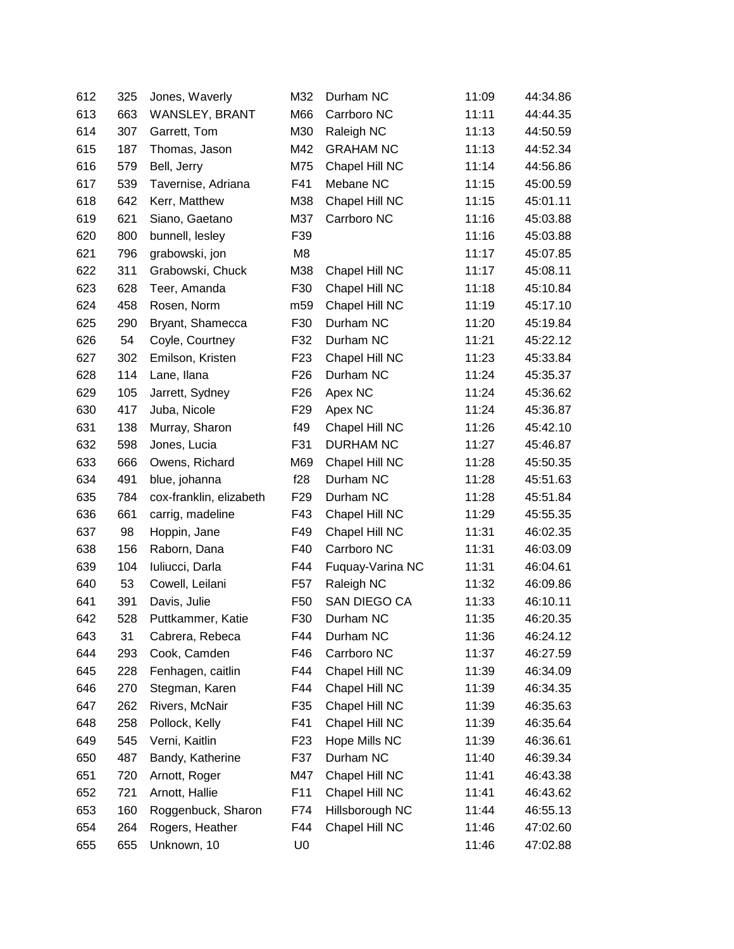| 612 | 325 | Jones, Waverly          | M32             | Durham NC        | 11:09 | 44:34.86 |
|-----|-----|-------------------------|-----------------|------------------|-------|----------|
| 613 | 663 | WANSLEY, BRANT          | M66             | Carrboro NC      | 11:11 | 44:44.35 |
| 614 | 307 | Garrett, Tom            | M30             | Raleigh NC       | 11:13 | 44:50.59 |
| 615 | 187 | Thomas, Jason           | M42             | <b>GRAHAM NC</b> | 11:13 | 44:52.34 |
| 616 | 579 | Bell, Jerry             | M75             | Chapel Hill NC   | 11:14 | 44:56.86 |
| 617 | 539 | Tavernise, Adriana      | F41             | Mebane NC        | 11:15 | 45:00.59 |
| 618 | 642 | Kerr, Matthew           | M38             | Chapel Hill NC   | 11:15 | 45:01.11 |
| 619 | 621 | Siano, Gaetano          | M37             | Carrboro NC      | 11:16 | 45:03.88 |
| 620 | 800 | bunnell, lesley         | F39             |                  | 11:16 | 45:03.88 |
| 621 | 796 | grabowski, jon          | M <sub>8</sub>  |                  | 11:17 | 45:07.85 |
| 622 | 311 | Grabowski, Chuck        | M38             | Chapel Hill NC   | 11:17 | 45:08.11 |
| 623 | 628 | Teer, Amanda            | F30             | Chapel Hill NC   | 11:18 | 45:10.84 |
| 624 | 458 | Rosen, Norm             | m59             | Chapel Hill NC   | 11:19 | 45:17.10 |
| 625 | 290 | Bryant, Shamecca        | F30             | Durham NC        | 11:20 | 45:19.84 |
| 626 | 54  | Coyle, Courtney         | F32             | Durham NC        | 11:21 | 45:22.12 |
| 627 | 302 | Emilson, Kristen        | F <sub>23</sub> | Chapel Hill NC   | 11:23 | 45:33.84 |
| 628 | 114 | Lane, Ilana             | F <sub>26</sub> | Durham NC        | 11:24 | 45:35.37 |
| 629 | 105 | Jarrett, Sydney         | F <sub>26</sub> | Apex NC          | 11:24 | 45:36.62 |
| 630 | 417 | Juba, Nicole            | F <sub>29</sub> | Apex NC          | 11:24 | 45:36.87 |
| 631 | 138 | Murray, Sharon          | f49             | Chapel Hill NC   | 11:26 | 45:42.10 |
| 632 | 598 | Jones, Lucia            | F31             | <b>DURHAM NC</b> | 11:27 | 45:46.87 |
| 633 | 666 | Owens, Richard          | M69             | Chapel Hill NC   | 11:28 | 45:50.35 |
| 634 | 491 | blue, johanna           | f28             | Durham NC        | 11:28 | 45:51.63 |
| 635 | 784 | cox-franklin, elizabeth | F <sub>29</sub> | Durham NC        | 11:28 | 45:51.84 |
| 636 | 661 | carrig, madeline        | F43             | Chapel Hill NC   | 11:29 | 45:55.35 |
| 637 | 98  | Hoppin, Jane            | F49             | Chapel Hill NC   | 11:31 | 46:02.35 |
| 638 | 156 | Raborn, Dana            | F40             | Carrboro NC      | 11:31 | 46:03.09 |
| 639 | 104 | Iuliucci, Darla         | F44             | Fuquay-Varina NC | 11:31 | 46:04.61 |
| 640 | 53  | Cowell, Leilani         | F <sub>57</sub> | Raleigh NC       | 11:32 | 46:09.86 |
| 641 | 391 | Davis, Julie            | F <sub>50</sub> | SAN DIEGO CA     | 11:33 | 46:10.11 |
| 642 | 528 | Puttkammer, Katie       | F30             | Durham NC        | 11:35 | 46:20.35 |
| 643 | 31  | Cabrera, Rebeca         | F44             | Durham NC        | 11:36 | 46:24.12 |
| 644 | 293 | Cook, Camden            | F46             | Carrboro NC      | 11:37 | 46:27.59 |
| 645 | 228 | Fenhagen, caitlin       | F44             | Chapel Hill NC   | 11:39 | 46:34.09 |
| 646 | 270 | Stegman, Karen          | F44             | Chapel Hill NC   | 11:39 | 46:34.35 |
| 647 | 262 | Rivers, McNair          | F35             | Chapel Hill NC   | 11:39 | 46:35.63 |
| 648 | 258 | Pollock, Kelly          | F41             | Chapel Hill NC   | 11:39 | 46:35.64 |
| 649 | 545 | Verni, Kaitlin          | F <sub>23</sub> | Hope Mills NC    | 11:39 | 46:36.61 |
| 650 | 487 | Bandy, Katherine        | F37             | Durham NC        | 11:40 | 46:39.34 |
| 651 | 720 | Arnott, Roger           | M47             | Chapel Hill NC   | 11:41 | 46:43.38 |
| 652 | 721 | Arnott, Hallie          | F11             | Chapel Hill NC   | 11:41 | 46:43.62 |
| 653 | 160 | Roggenbuck, Sharon      | F74             | Hillsborough NC  | 11:44 | 46:55.13 |
| 654 | 264 | Rogers, Heather         | F44             | Chapel Hill NC   | 11:46 | 47:02.60 |
| 655 | 655 | Unknown, 10             | U <sub>0</sub>  |                  | 11:46 | 47:02.88 |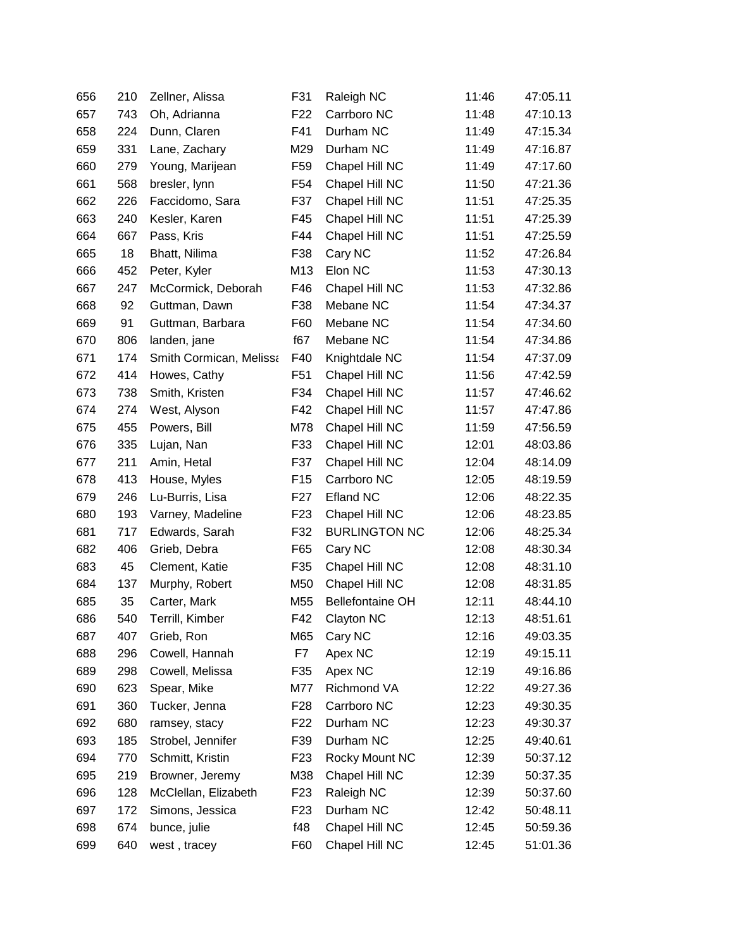| 656 | 210 | Zellner, Alissa         | F31             | Raleigh NC              | 11:46 | 47:05.11 |
|-----|-----|-------------------------|-----------------|-------------------------|-------|----------|
| 657 | 743 | Oh, Adrianna            | F <sub>22</sub> | Carrboro NC             | 11:48 | 47:10.13 |
| 658 | 224 | Dunn, Claren            | F41             | Durham NC               | 11:49 | 47:15.34 |
| 659 | 331 | Lane, Zachary           | M29             | Durham NC               | 11:49 | 47:16.87 |
| 660 | 279 | Young, Marijean         | F <sub>59</sub> | Chapel Hill NC          | 11:49 | 47:17.60 |
| 661 | 568 | bresler, lynn           | F54             | Chapel Hill NC          | 11:50 | 47:21.36 |
| 662 | 226 | Faccidomo, Sara         | F37             | Chapel Hill NC          | 11:51 | 47:25.35 |
| 663 | 240 | Kesler, Karen           | F45             | Chapel Hill NC          | 11:51 | 47:25.39 |
| 664 | 667 | Pass, Kris              | F44             | Chapel Hill NC          | 11:51 | 47:25.59 |
| 665 | 18  | Bhatt, Nilima           | F38             | Cary NC                 | 11:52 | 47:26.84 |
| 666 | 452 | Peter, Kyler            | M13             | Elon NC                 | 11:53 | 47:30.13 |
| 667 | 247 | McCormick, Deborah      | F46             | Chapel Hill NC          | 11:53 | 47:32.86 |
| 668 | 92  | Guttman, Dawn           | F38             | Mebane NC               | 11:54 | 47:34.37 |
| 669 | 91  | Guttman, Barbara        | F60             | Mebane NC               | 11:54 | 47:34.60 |
| 670 | 806 | landen, jane            | f67             | Mebane NC               | 11:54 | 47:34.86 |
| 671 | 174 | Smith Cormican, Melissa | F40             | Knightdale NC           | 11:54 | 47:37.09 |
| 672 | 414 | Howes, Cathy            | F <sub>51</sub> | Chapel Hill NC          | 11:56 | 47:42.59 |
| 673 | 738 | Smith, Kristen          | F34             | Chapel Hill NC          | 11:57 | 47:46.62 |
| 674 | 274 | West, Alyson            | F42             | Chapel Hill NC          | 11:57 | 47:47.86 |
| 675 | 455 | Powers, Bill            | M78             | Chapel Hill NC          | 11:59 | 47:56.59 |
| 676 | 335 | Lujan, Nan              | F33             | Chapel Hill NC          | 12:01 | 48:03.86 |
| 677 | 211 | Amin, Hetal             | F37             | Chapel Hill NC          | 12:04 | 48:14.09 |
| 678 | 413 | House, Myles            | F <sub>15</sub> | Carrboro NC             | 12:05 | 48:19.59 |
| 679 | 246 | Lu-Burris, Lisa         | F <sub>27</sub> | <b>Efland NC</b>        | 12:06 | 48:22.35 |
| 680 | 193 | Varney, Madeline        | F <sub>23</sub> | Chapel Hill NC          | 12:06 | 48:23.85 |
| 681 | 717 | Edwards, Sarah          | F32             | <b>BURLINGTON NC</b>    | 12:06 | 48:25.34 |
| 682 | 406 | Grieb, Debra            | F65             | Cary NC                 | 12:08 | 48:30.34 |
| 683 | 45  | Clement, Katie          | F35             | Chapel Hill NC          | 12:08 | 48:31.10 |
| 684 | 137 | Murphy, Robert          | M50             | Chapel Hill NC          | 12:08 | 48:31.85 |
| 685 | 35  | Carter, Mark            | M55             | <b>Bellefontaine OH</b> | 12:11 | 48:44.10 |
| 686 | 540 | Terrill, Kimber         | F42             | Clayton NC              | 12:13 | 48:51.61 |
| 687 | 407 | Grieb, Ron              | M65             | Cary NC                 | 12:16 | 49:03.35 |
| 688 | 296 | Cowell, Hannah          | F7              | Apex NC                 | 12:19 | 49:15.11 |
| 689 | 298 | Cowell, Melissa         | F35             | Apex NC                 | 12:19 | 49:16.86 |
| 690 | 623 | Spear, Mike             | M77             | Richmond VA             | 12:22 | 49:27.36 |
| 691 | 360 | Tucker, Jenna           | F <sub>28</sub> | Carrboro NC             | 12:23 | 49:30.35 |
| 692 | 680 | ramsey, stacy           | F <sub>22</sub> | Durham NC               | 12:23 | 49:30.37 |
| 693 | 185 | Strobel, Jennifer       | F39             | Durham NC               | 12:25 | 49:40.61 |
| 694 | 770 | Schmitt, Kristin        | F <sub>23</sub> | Rocky Mount NC          | 12:39 | 50:37.12 |
| 695 | 219 | Browner, Jeremy         | M38             | Chapel Hill NC          | 12:39 | 50:37.35 |
| 696 | 128 | McClellan, Elizabeth    | F <sub>23</sub> | Raleigh NC              | 12:39 | 50:37.60 |
| 697 | 172 | Simons, Jessica         | F <sub>23</sub> | Durham NC               | 12:42 | 50:48.11 |
| 698 | 674 | bunce, julie            | f48             | Chapel Hill NC          | 12:45 | 50:59.36 |
| 699 | 640 | west, tracey            | F60             | Chapel Hill NC          | 12:45 | 51:01.36 |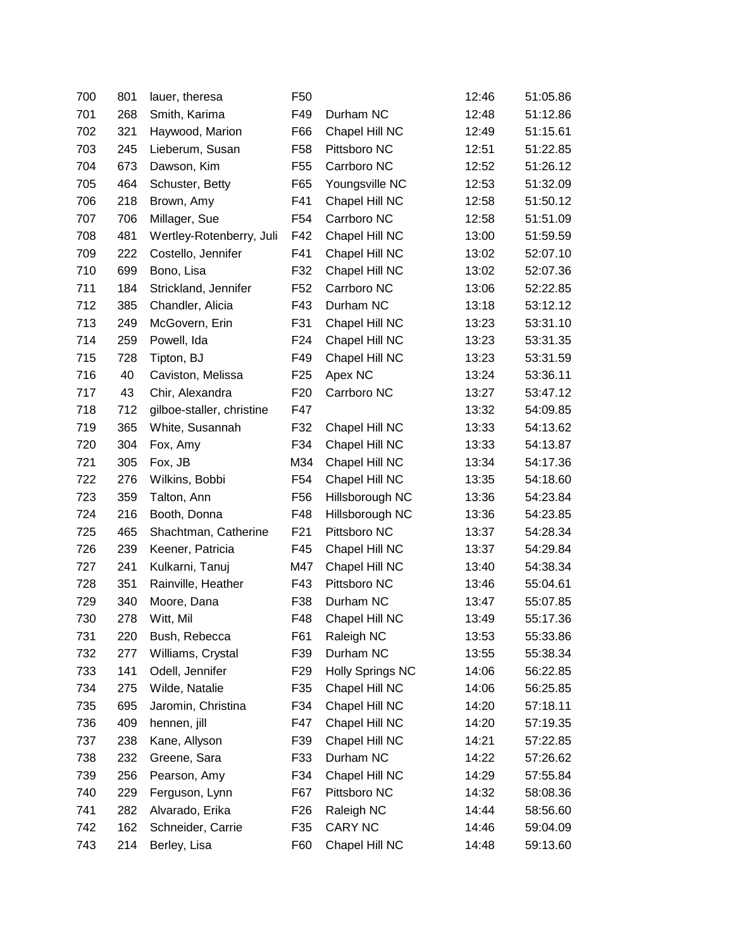| 700 | 801 | lauer, theresa            | F <sub>50</sub> |                         | 12:46 | 51:05.86 |
|-----|-----|---------------------------|-----------------|-------------------------|-------|----------|
| 701 | 268 | Smith, Karima             | F49             | Durham NC               | 12:48 | 51:12.86 |
| 702 | 321 | Haywood, Marion           | F66             | Chapel Hill NC          | 12:49 | 51:15.61 |
| 703 | 245 | Lieberum, Susan           | F <sub>58</sub> | Pittsboro NC            | 12:51 | 51:22.85 |
| 704 | 673 | Dawson, Kim               | F <sub>55</sub> | Carrboro NC             | 12:52 | 51:26.12 |
| 705 | 464 | Schuster, Betty           | F65             | Youngsville NC          | 12:53 | 51:32.09 |
| 706 | 218 | Brown, Amy                | F41             | Chapel Hill NC          | 12:58 | 51:50.12 |
| 707 | 706 | Millager, Sue             | F <sub>54</sub> | Carrboro NC             | 12:58 | 51:51.09 |
| 708 | 481 | Wertley-Rotenberry, Juli  | F42             | Chapel Hill NC          | 13:00 | 51:59.59 |
| 709 | 222 | Costello, Jennifer        | F41             | Chapel Hill NC          | 13:02 | 52:07.10 |
| 710 | 699 | Bono, Lisa                | F32             | Chapel Hill NC          | 13:02 | 52:07.36 |
| 711 | 184 | Strickland, Jennifer      | F <sub>52</sub> | Carrboro NC             | 13:06 | 52:22.85 |
| 712 | 385 | Chandler, Alicia          | F43             | Durham NC               | 13:18 | 53:12.12 |
| 713 | 249 | McGovern, Erin            | F31             | Chapel Hill NC          | 13:23 | 53:31.10 |
| 714 | 259 | Powell, Ida               | F <sub>24</sub> | Chapel Hill NC          | 13:23 | 53:31.35 |
| 715 | 728 | Tipton, BJ                | F49             | Chapel Hill NC          | 13:23 | 53:31.59 |
| 716 | 40  | Caviston, Melissa         | F <sub>25</sub> | Apex NC                 | 13:24 | 53:36.11 |
| 717 | 43  | Chir, Alexandra           | F <sub>20</sub> | Carrboro NC             | 13:27 | 53:47.12 |
| 718 | 712 | gilboe-staller, christine | F47             |                         | 13:32 | 54:09.85 |
| 719 | 365 | White, Susannah           | F32             | Chapel Hill NC          | 13:33 | 54:13.62 |
| 720 | 304 | Fox, Amy                  | F34             | Chapel Hill NC          | 13:33 | 54:13.87 |
| 721 | 305 | Fox, JB                   | M34             | Chapel Hill NC          | 13:34 | 54:17.36 |
| 722 | 276 | Wilkins, Bobbi            | F <sub>54</sub> | Chapel Hill NC          | 13:35 | 54:18.60 |
| 723 | 359 | Talton, Ann               | F <sub>56</sub> | Hillsborough NC         | 13:36 | 54:23.84 |
| 724 | 216 | Booth, Donna              | F48             | Hillsborough NC         | 13:36 | 54:23.85 |
| 725 | 465 | Shachtman, Catherine      | F <sub>21</sub> | Pittsboro NC            | 13:37 | 54:28.34 |
| 726 | 239 | Keener, Patricia          | F45             | Chapel Hill NC          | 13:37 | 54:29.84 |
| 727 | 241 | Kulkarni, Tanuj           | M47             | Chapel Hill NC          | 13:40 | 54:38.34 |
| 728 | 351 | Rainville, Heather        | F43             | Pittsboro NC            | 13:46 | 55:04.61 |
| 729 | 340 | Moore, Dana               | F38             | Durham NC               | 13:47 | 55:07.85 |
| 730 | 278 | Witt, Mil                 | F48             | Chapel Hill NC          | 13:49 | 55:17.36 |
| 731 | 220 | Bush, Rebecca             | F61             | Raleigh NC              | 13:53 | 55:33.86 |
| 732 | 277 | Williams, Crystal         | F39             | Durham NC               | 13:55 | 55:38.34 |
| 733 | 141 | Odell, Jennifer           | F <sub>29</sub> | <b>Holly Springs NC</b> | 14:06 | 56:22.85 |
| 734 | 275 | Wilde, Natalie            | F35             | Chapel Hill NC          | 14:06 | 56:25.85 |
| 735 | 695 | Jaromin, Christina        | F34             | Chapel Hill NC          | 14:20 | 57:18.11 |
| 736 | 409 | hennen, jill              | F47             | Chapel Hill NC          | 14:20 | 57:19.35 |
| 737 | 238 | Kane, Allyson             | F39             | Chapel Hill NC          | 14:21 | 57:22.85 |
| 738 | 232 | Greene, Sara              | F33             | Durham NC               | 14:22 | 57:26.62 |
| 739 | 256 | Pearson, Amy              | F34             | Chapel Hill NC          | 14:29 | 57:55.84 |
| 740 | 229 | Ferguson, Lynn            | F67             | Pittsboro NC            | 14:32 | 58:08.36 |
| 741 | 282 | Alvarado, Erika           | F <sub>26</sub> | Raleigh NC              | 14:44 | 58:56.60 |
| 742 | 162 | Schneider, Carrie         | F35             | <b>CARY NC</b>          | 14:46 | 59:04.09 |
| 743 | 214 | Berley, Lisa              | F60             | Chapel Hill NC          | 14:48 | 59:13.60 |